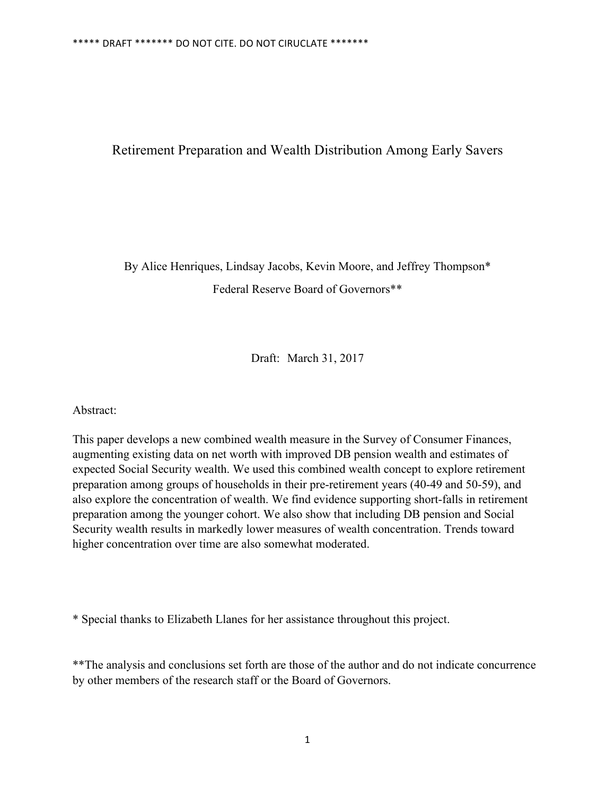## Retirement Preparation and Wealth Distribution Among Early Savers

By Alice Henriques, Lindsay Jacobs, Kevin Moore, and Jeffrey Thompson\* Federal Reserve Board of Governors\*\*

Draft: March 31, 2017

Abstract:

This paper develops a new combined wealth measure in the Survey of Consumer Finances, augmenting existing data on net worth with improved DB pension wealth and estimates of expected Social Security wealth. We used this combined wealth concept to explore retirement preparation among groups of households in their pre-retirement years (40-49 and 50-59), and also explore the concentration of wealth. We find evidence supporting short-falls in retirement preparation among the younger cohort. We also show that including DB pension and Social Security wealth results in markedly lower measures of wealth concentration. Trends toward higher concentration over time are also somewhat moderated.

\* Special thanks to Elizabeth Llanes for her assistance throughout this project.

\*\*The analysis and conclusions set forth are those of the author and do not indicate concurrence by other members of the research staff or the Board of Governors.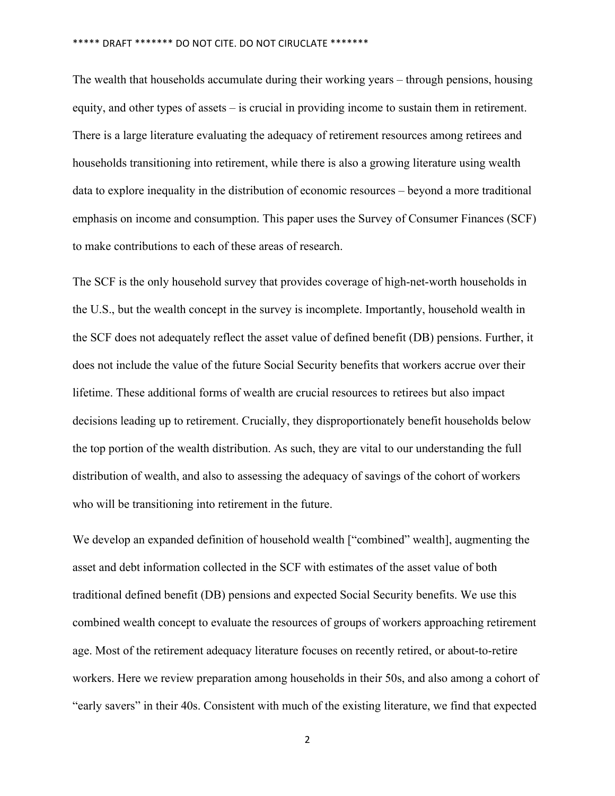The wealth that households accumulate during their working years – through pensions, housing equity, and other types of assets – is crucial in providing income to sustain them in retirement. There is a large literature evaluating the adequacy of retirement resources among retirees and households transitioning into retirement, while there is also a growing literature using wealth data to explore inequality in the distribution of economic resources – beyond a more traditional emphasis on income and consumption. This paper uses the Survey of Consumer Finances (SCF) to make contributions to each of these areas of research.

The SCF is the only household survey that provides coverage of high-net-worth households in the U.S., but the wealth concept in the survey is incomplete. Importantly, household wealth in the SCF does not adequately reflect the asset value of defined benefit (DB) pensions. Further, it does not include the value of the future Social Security benefits that workers accrue over their lifetime. These additional forms of wealth are crucial resources to retirees but also impact decisions leading up to retirement. Crucially, they disproportionately benefit households below the top portion of the wealth distribution. As such, they are vital to our understanding the full distribution of wealth, and also to assessing the adequacy of savings of the cohort of workers who will be transitioning into retirement in the future.

We develop an expanded definition of household wealth ["combined" wealth], augmenting the asset and debt information collected in the SCF with estimates of the asset value of both traditional defined benefit (DB) pensions and expected Social Security benefits. We use this combined wealth concept to evaluate the resources of groups of workers approaching retirement age. Most of the retirement adequacy literature focuses on recently retired, or about-to-retire workers. Here we review preparation among households in their 50s, and also among a cohort of "early savers" in their 40s. Consistent with much of the existing literature, we find that expected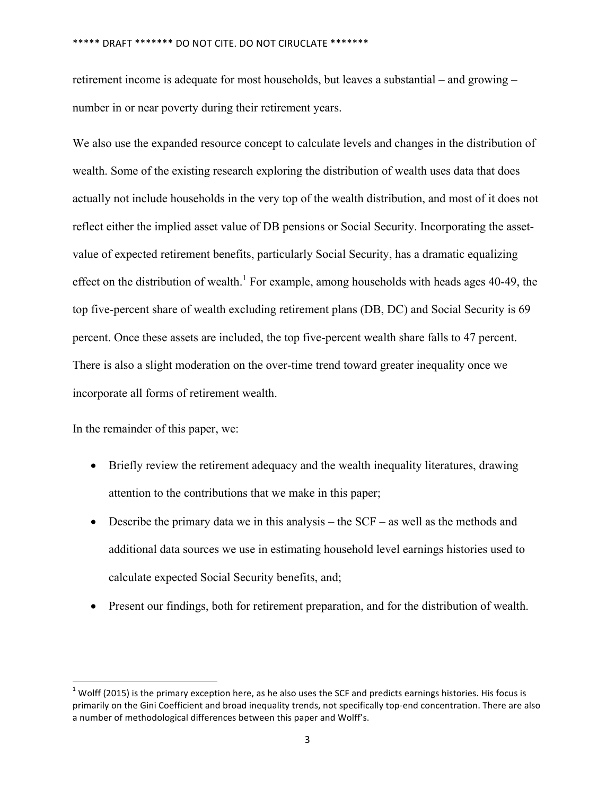retirement income is adequate for most households, but leaves a substantial – and growing – number in or near poverty during their retirement years.

We also use the expanded resource concept to calculate levels and changes in the distribution of wealth. Some of the existing research exploring the distribution of wealth uses data that does actually not include households in the very top of the wealth distribution, and most of it does not reflect either the implied asset value of DB pensions or Social Security. Incorporating the assetvalue of expected retirement benefits, particularly Social Security, has a dramatic equalizing effect on the distribution of wealth.<sup>1</sup> For example, among households with heads ages  $40-49$ , the top five-percent share of wealth excluding retirement plans (DB, DC) and Social Security is 69 percent. Once these assets are included, the top five-percent wealth share falls to 47 percent. There is also a slight moderation on the over-time trend toward greater inequality once we incorporate all forms of retirement wealth.

In the remainder of this paper, we:

<u> Andrew Maria (1989)</u>

- Briefly review the retirement adequacy and the wealth inequality literatures, drawing attention to the contributions that we make in this paper;
- Describe the primary data we in this analysis the SCF as well as the methods and additional data sources we use in estimating household level earnings histories used to calculate expected Social Security benefits, and;
- Present our findings, both for retirement preparation, and for the distribution of wealth.

 $1$  Wolff (2015) is the primary exception here, as he also uses the SCF and predicts earnings histories. His focus is primarily on the Gini Coefficient and broad inequality trends, not specifically top-end concentration. There are also a number of methodological differences between this paper and Wolff's.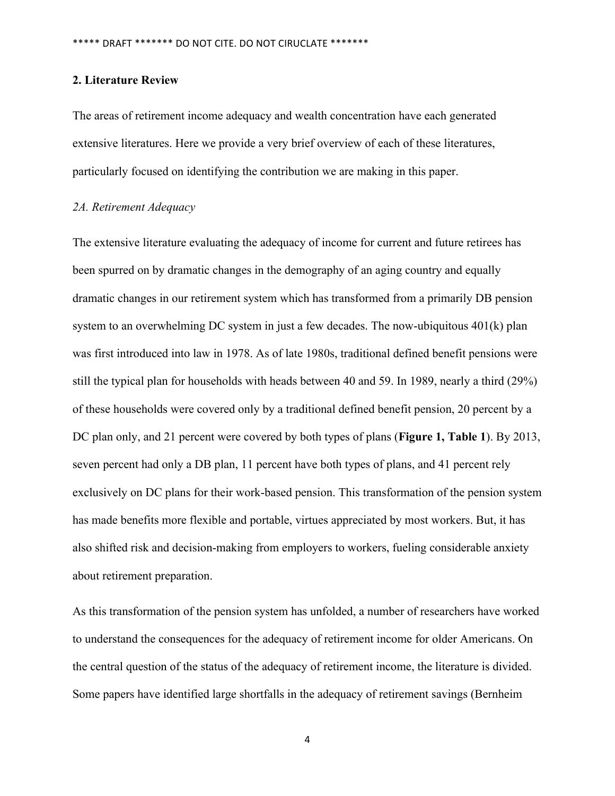#### **2. Literature Review**

The areas of retirement income adequacy and wealth concentration have each generated extensive literatures. Here we provide a very brief overview of each of these literatures, particularly focused on identifying the contribution we are making in this paper.

#### *2A. Retirement Adequacy*

The extensive literature evaluating the adequacy of income for current and future retirees has been spurred on by dramatic changes in the demography of an aging country and equally dramatic changes in our retirement system which has transformed from a primarily DB pension system to an overwhelming DC system in just a few decades. The now-ubiquitous 401(k) plan was first introduced into law in 1978. As of late 1980s, traditional defined benefit pensions were still the typical plan for households with heads between 40 and 59. In 1989, nearly a third (29%) of these households were covered only by a traditional defined benefit pension, 20 percent by a DC plan only, and 21 percent were covered by both types of plans (**Figure 1, Table 1**). By 2013, seven percent had only a DB plan, 11 percent have both types of plans, and 41 percent rely exclusively on DC plans for their work-based pension. This transformation of the pension system has made benefits more flexible and portable, virtues appreciated by most workers. But, it has also shifted risk and decision-making from employers to workers, fueling considerable anxiety about retirement preparation.

As this transformation of the pension system has unfolded, a number of researchers have worked to understand the consequences for the adequacy of retirement income for older Americans. On the central question of the status of the adequacy of retirement income, the literature is divided. Some papers have identified large shortfalls in the adequacy of retirement savings (Bernheim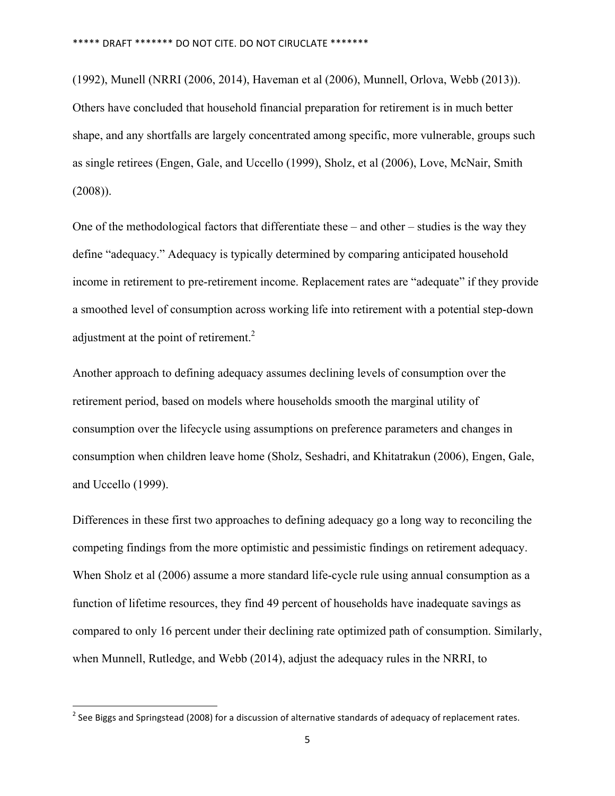(1992), Munell (NRRI (2006, 2014), Haveman et al (2006), Munnell, Orlova, Webb (2013)). Others have concluded that household financial preparation for retirement is in much better shape, and any shortfalls are largely concentrated among specific, more vulnerable, groups such as single retirees (Engen, Gale, and Uccello (1999), Sholz, et al (2006), Love, McNair, Smith (2008)).

One of the methodological factors that differentiate these – and other – studies is the way they define "adequacy." Adequacy is typically determined by comparing anticipated household income in retirement to pre-retirement income. Replacement rates are "adequate" if they provide a smoothed level of consumption across working life into retirement with a potential step-down adjustment at the point of retirement.<sup>2</sup>

Another approach to defining adequacy assumes declining levels of consumption over the retirement period, based on models where households smooth the marginal utility of consumption over the lifecycle using assumptions on preference parameters and changes in consumption when children leave home (Sholz, Seshadri, and Khitatrakun (2006), Engen, Gale, and Uccello (1999).

Differences in these first two approaches to defining adequacy go a long way to reconciling the competing findings from the more optimistic and pessimistic findings on retirement adequacy. When Sholz et al (2006) assume a more standard life-cycle rule using annual consumption as a function of lifetime resources, they find 49 percent of households have inadequate savings as compared to only 16 percent under their declining rate optimized path of consumption. Similarly, when Munnell, Rutledge, and Webb (2014), adjust the adequacy rules in the NRRI, to

<u> Andrew Maria (1989)</u>

<sup>&</sup>lt;sup>2</sup> See Biggs and Springstead (2008) for a discussion of alternative standards of adequacy of replacement rates.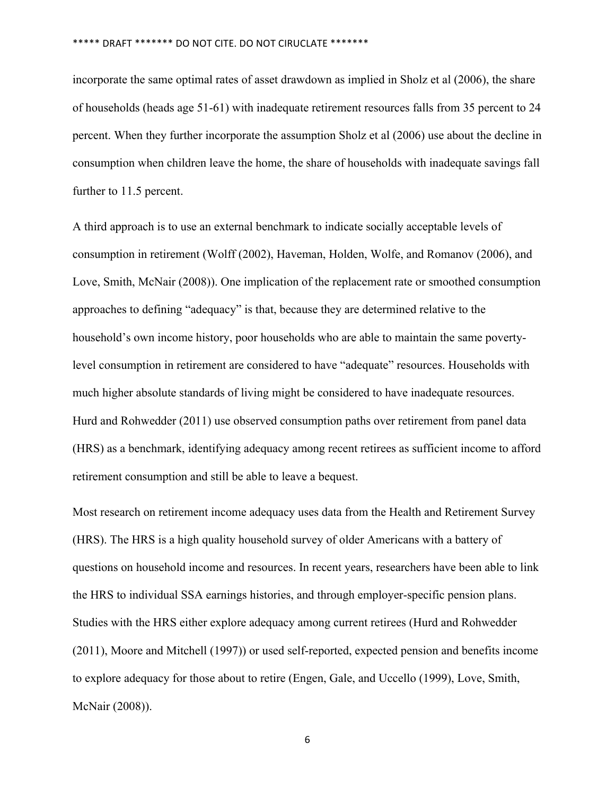incorporate the same optimal rates of asset drawdown as implied in Sholz et al (2006), the share of households (heads age 51-61) with inadequate retirement resources falls from 35 percent to 24 percent. When they further incorporate the assumption Sholz et al (2006) use about the decline in consumption when children leave the home, the share of households with inadequate savings fall further to 11.5 percent.

A third approach is to use an external benchmark to indicate socially acceptable levels of consumption in retirement (Wolff (2002), Haveman, Holden, Wolfe, and Romanov (2006), and Love, Smith, McNair (2008)). One implication of the replacement rate or smoothed consumption approaches to defining "adequacy" is that, because they are determined relative to the household's own income history, poor households who are able to maintain the same povertylevel consumption in retirement are considered to have "adequate" resources. Households with much higher absolute standards of living might be considered to have inadequate resources. Hurd and Rohwedder (2011) use observed consumption paths over retirement from panel data (HRS) as a benchmark, identifying adequacy among recent retirees as sufficient income to afford retirement consumption and still be able to leave a bequest.

Most research on retirement income adequacy uses data from the Health and Retirement Survey (HRS). The HRS is a high quality household survey of older Americans with a battery of questions on household income and resources. In recent years, researchers have been able to link the HRS to individual SSA earnings histories, and through employer-specific pension plans. Studies with the HRS either explore adequacy among current retirees (Hurd and Rohwedder (2011), Moore and Mitchell (1997)) or used self-reported, expected pension and benefits income to explore adequacy for those about to retire (Engen, Gale, and Uccello (1999), Love, Smith, McNair (2008)).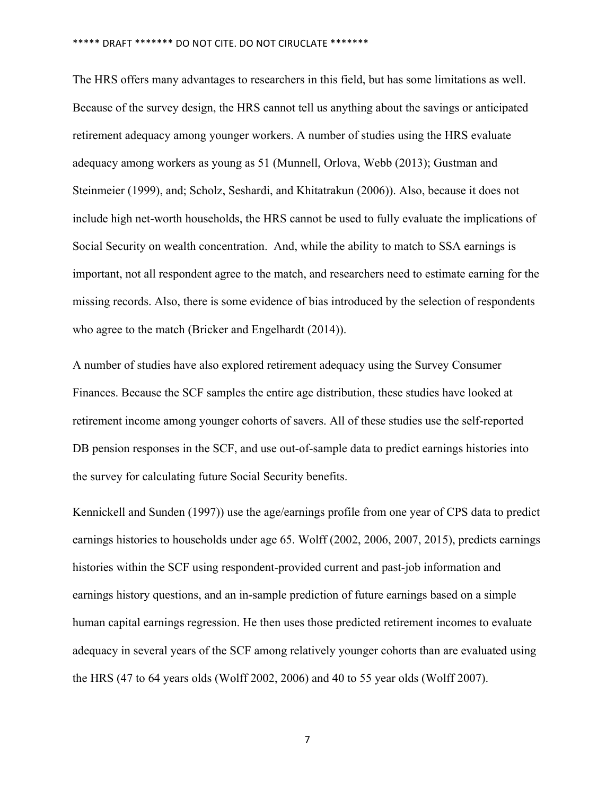The HRS offers many advantages to researchers in this field, but has some limitations as well. Because of the survey design, the HRS cannot tell us anything about the savings or anticipated retirement adequacy among younger workers. A number of studies using the HRS evaluate adequacy among workers as young as 51 (Munnell, Orlova, Webb (2013); Gustman and Steinmeier (1999), and; Scholz, Seshardi, and Khitatrakun (2006)). Also, because it does not include high net-worth households, the HRS cannot be used to fully evaluate the implications of Social Security on wealth concentration. And, while the ability to match to SSA earnings is important, not all respondent agree to the match, and researchers need to estimate earning for the missing records. Also, there is some evidence of bias introduced by the selection of respondents who agree to the match (Bricker and Engelhardt (2014)).

A number of studies have also explored retirement adequacy using the Survey Consumer Finances. Because the SCF samples the entire age distribution, these studies have looked at retirement income among younger cohorts of savers. All of these studies use the self-reported DB pension responses in the SCF, and use out-of-sample data to predict earnings histories into the survey for calculating future Social Security benefits.

Kennickell and Sunden (1997)) use the age/earnings profile from one year of CPS data to predict earnings histories to households under age 65. Wolff (2002, 2006, 2007, 2015), predicts earnings histories within the SCF using respondent-provided current and past-job information and earnings history questions, and an in-sample prediction of future earnings based on a simple human capital earnings regression. He then uses those predicted retirement incomes to evaluate adequacy in several years of the SCF among relatively younger cohorts than are evaluated using the HRS (47 to 64 years olds (Wolff 2002, 2006) and 40 to 55 year olds (Wolff 2007).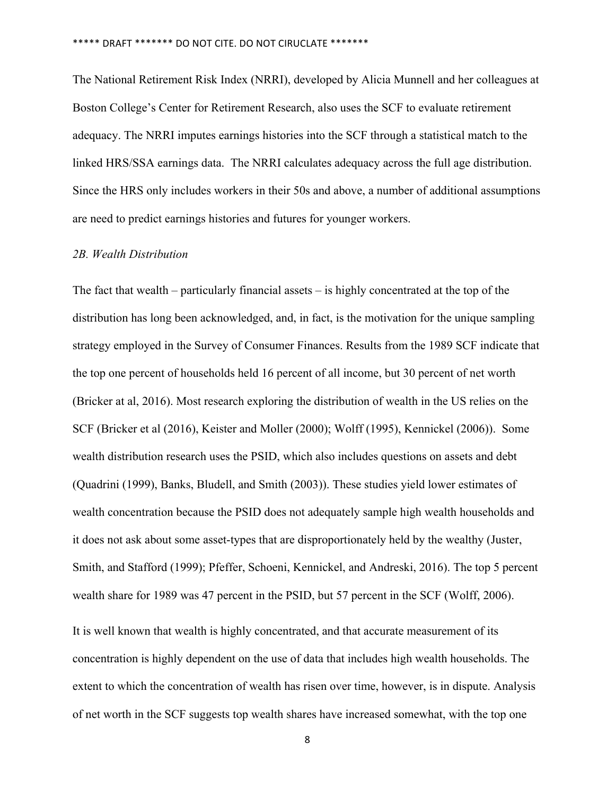The National Retirement Risk Index (NRRI), developed by Alicia Munnell and her colleagues at Boston College's Center for Retirement Research, also uses the SCF to evaluate retirement adequacy. The NRRI imputes earnings histories into the SCF through a statistical match to the linked HRS/SSA earnings data. The NRRI calculates adequacy across the full age distribution. Since the HRS only includes workers in their 50s and above, a number of additional assumptions are need to predict earnings histories and futures for younger workers.

#### *2B. Wealth Distribution*

The fact that wealth – particularly financial assets – is highly concentrated at the top of the distribution has long been acknowledged, and, in fact, is the motivation for the unique sampling strategy employed in the Survey of Consumer Finances. Results from the 1989 SCF indicate that the top one percent of households held 16 percent of all income, but 30 percent of net worth (Bricker at al, 2016). Most research exploring the distribution of wealth in the US relies on the SCF (Bricker et al (2016), Keister and Moller (2000); Wolff (1995), Kennickel (2006)). Some wealth distribution research uses the PSID, which also includes questions on assets and debt (Quadrini (1999), Banks, Bludell, and Smith (2003)). These studies yield lower estimates of wealth concentration because the PSID does not adequately sample high wealth households and it does not ask about some asset-types that are disproportionately held by the wealthy (Juster, Smith, and Stafford (1999); Pfeffer, Schoeni, Kennickel, and Andreski, 2016). The top 5 percent wealth share for 1989 was 47 percent in the PSID, but 57 percent in the SCF (Wolff, 2006).

It is well known that wealth is highly concentrated, and that accurate measurement of its concentration is highly dependent on the use of data that includes high wealth households. The extent to which the concentration of wealth has risen over time, however, is in dispute. Analysis of net worth in the SCF suggests top wealth shares have increased somewhat, with the top one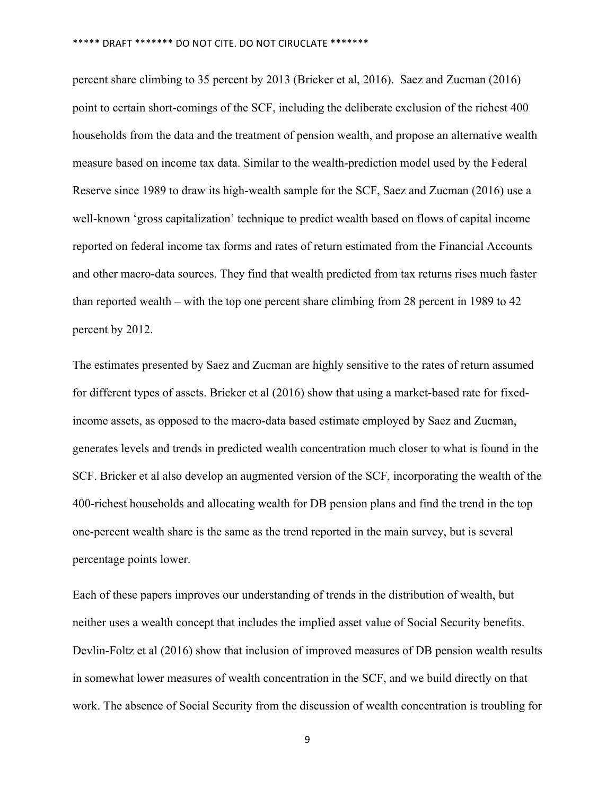percent share climbing to 35 percent by 2013 (Bricker et al, 2016). Saez and Zucman (2016) point to certain short-comings of the SCF, including the deliberate exclusion of the richest 400 households from the data and the treatment of pension wealth, and propose an alternative wealth measure based on income tax data. Similar to the wealth-prediction model used by the Federal Reserve since 1989 to draw its high-wealth sample for the SCF, Saez and Zucman (2016) use a well-known 'gross capitalization' technique to predict wealth based on flows of capital income reported on federal income tax forms and rates of return estimated from the Financial Accounts and other macro-data sources. They find that wealth predicted from tax returns rises much faster than reported wealth – with the top one percent share climbing from 28 percent in 1989 to 42 percent by 2012.

The estimates presented by Saez and Zucman are highly sensitive to the rates of return assumed for different types of assets. Bricker et al (2016) show that using a market-based rate for fixedincome assets, as opposed to the macro-data based estimate employed by Saez and Zucman, generates levels and trends in predicted wealth concentration much closer to what is found in the SCF. Bricker et al also develop an augmented version of the SCF, incorporating the wealth of the 400-richest households and allocating wealth for DB pension plans and find the trend in the top one-percent wealth share is the same as the trend reported in the main survey, but is several percentage points lower.

Each of these papers improves our understanding of trends in the distribution of wealth, but neither uses a wealth concept that includes the implied asset value of Social Security benefits. Devlin-Foltz et al (2016) show that inclusion of improved measures of DB pension wealth results in somewhat lower measures of wealth concentration in the SCF, and we build directly on that work. The absence of Social Security from the discussion of wealth concentration is troubling for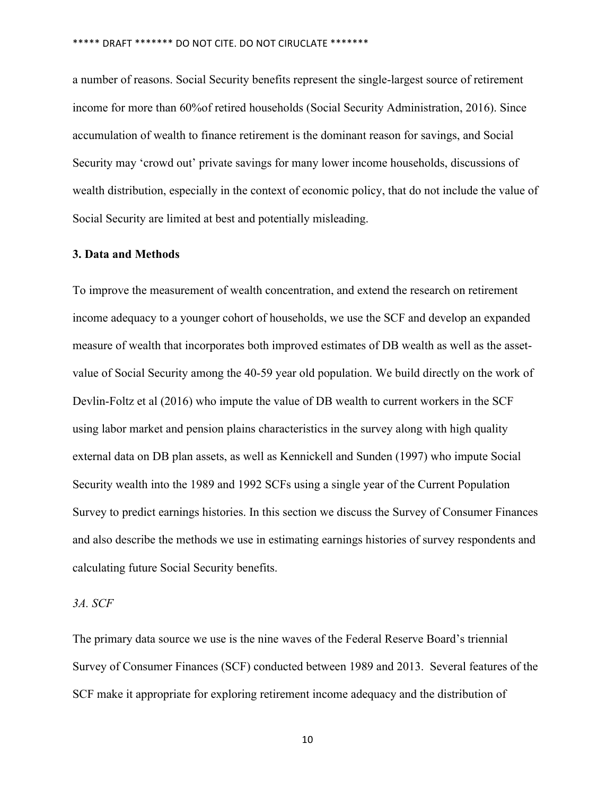a number of reasons. Social Security benefits represent the single-largest source of retirement income for more than 60%of retired households (Social Security Administration, 2016). Since accumulation of wealth to finance retirement is the dominant reason for savings, and Social Security may 'crowd out' private savings for many lower income households, discussions of wealth distribution, especially in the context of economic policy, that do not include the value of Social Security are limited at best and potentially misleading.

#### **3. Data and Methods**

To improve the measurement of wealth concentration, and extend the research on retirement income adequacy to a younger cohort of households, we use the SCF and develop an expanded measure of wealth that incorporates both improved estimates of DB wealth as well as the assetvalue of Social Security among the 40-59 year old population. We build directly on the work of Devlin-Foltz et al (2016) who impute the value of DB wealth to current workers in the SCF using labor market and pension plains characteristics in the survey along with high quality external data on DB plan assets, as well as Kennickell and Sunden (1997) who impute Social Security wealth into the 1989 and 1992 SCFs using a single year of the Current Population Survey to predict earnings histories. In this section we discuss the Survey of Consumer Finances and also describe the methods we use in estimating earnings histories of survey respondents and calculating future Social Security benefits.

#### *3A. SCF*

The primary data source we use is the nine waves of the Federal Reserve Board's triennial Survey of Consumer Finances (SCF) conducted between 1989 and 2013. Several features of the SCF make it appropriate for exploring retirement income adequacy and the distribution of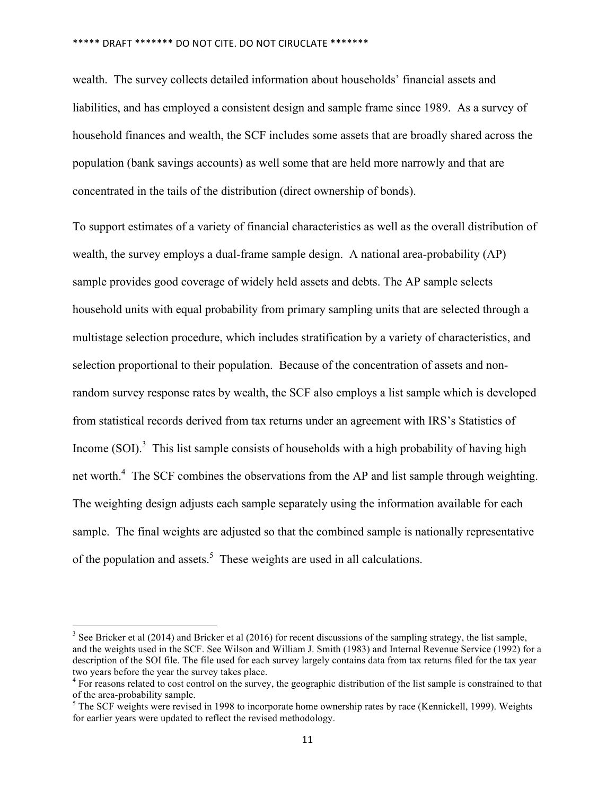wealth. The survey collects detailed information about households' financial assets and liabilities, and has employed a consistent design and sample frame since 1989. As a survey of household finances and wealth, the SCF includes some assets that are broadly shared across the population (bank savings accounts) as well some that are held more narrowly and that are concentrated in the tails of the distribution (direct ownership of bonds).

To support estimates of a variety of financial characteristics as well as the overall distribution of wealth, the survey employs a dual-frame sample design. A national area-probability (AP) sample provides good coverage of widely held assets and debts. The AP sample selects household units with equal probability from primary sampling units that are selected through a multistage selection procedure, which includes stratification by a variety of characteristics, and selection proportional to their population. Because of the concentration of assets and nonrandom survey response rates by wealth, the SCF also employs a list sample which is developed from statistical records derived from tax returns under an agreement with IRS's Statistics of Income  $(SOI)$ <sup>3</sup> This list sample consists of households with a high probability of having high net worth.<sup>4</sup> The SCF combines the observations from the AP and list sample through weighting. The weighting design adjusts each sample separately using the information available for each sample. The final weights are adjusted so that the combined sample is nationally representative of the population and assets.<sup>5</sup> These weights are used in all calculations.

<u> Andrew Maria (1989)</u>

<sup>&</sup>lt;sup>3</sup> See Bricker et al (2014) and Bricker et al (2016) for recent discussions of the sampling strategy, the list sample, and the weights used in the SCF. See Wilson and William J. Smith (1983) and Internal Revenue Service (1992) for a description of the SOI file. The file used for each survey largely contains data from tax returns filed for the tax year two years before the year the survey takes place.

<sup>&</sup>lt;sup>4</sup> For reasons related to cost control on the survey, the geographic distribution of the list sample is constrained to that of the area-probability sample.

 $5$  The SCF weights were revised in 1998 to incorporate home ownership rates by race (Kennickell, 1999). Weights for earlier years were updated to reflect the revised methodology.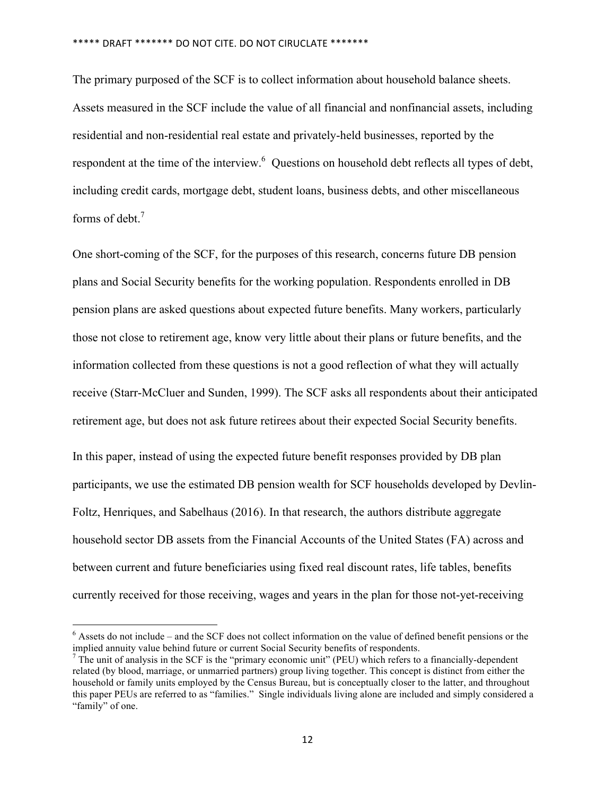The primary purposed of the SCF is to collect information about household balance sheets. Assets measured in the SCF include the value of all financial and nonfinancial assets, including residential and non-residential real estate and privately-held businesses, reported by the respondent at the time of the interview.<sup>6</sup> Ouestions on household debt reflects all types of debt, including credit cards, mortgage debt, student loans, business debts, and other miscellaneous forms of debt.<sup>7</sup>

One short-coming of the SCF, for the purposes of this research, concerns future DB pension plans and Social Security benefits for the working population. Respondents enrolled in DB pension plans are asked questions about expected future benefits. Many workers, particularly those not close to retirement age, know very little about their plans or future benefits, and the information collected from these questions is not a good reflection of what they will actually receive (Starr-McCluer and Sunden, 1999). The SCF asks all respondents about their anticipated retirement age, but does not ask future retirees about their expected Social Security benefits.

In this paper, instead of using the expected future benefit responses provided by DB plan participants, we use the estimated DB pension wealth for SCF households developed by Devlin-Foltz, Henriques, and Sabelhaus (2016). In that research, the authors distribute aggregate household sector DB assets from the Financial Accounts of the United States (FA) across and between current and future beneficiaries using fixed real discount rates, life tables, benefits currently received for those receiving, wages and years in the plan for those not-yet-receiving

<u> Andrew Maria (1989)</u>

 $6$  Assets do not include – and the SCF does not collect information on the value of defined benefit pensions or the implied annuity value behind future or current Social Security benefits of respondents.

 $<sup>7</sup>$  The unit of analysis in the SCF is the "primary economic unit" (PEU) which refers to a financially-dependent</sup> related (by blood, marriage, or unmarried partners) group living together. This concept is distinct from either the household or family units employed by the Census Bureau, but is conceptually closer to the latter, and throughout this paper PEUs are referred to as "families." Single individuals living alone are included and simply considered a "family" of one.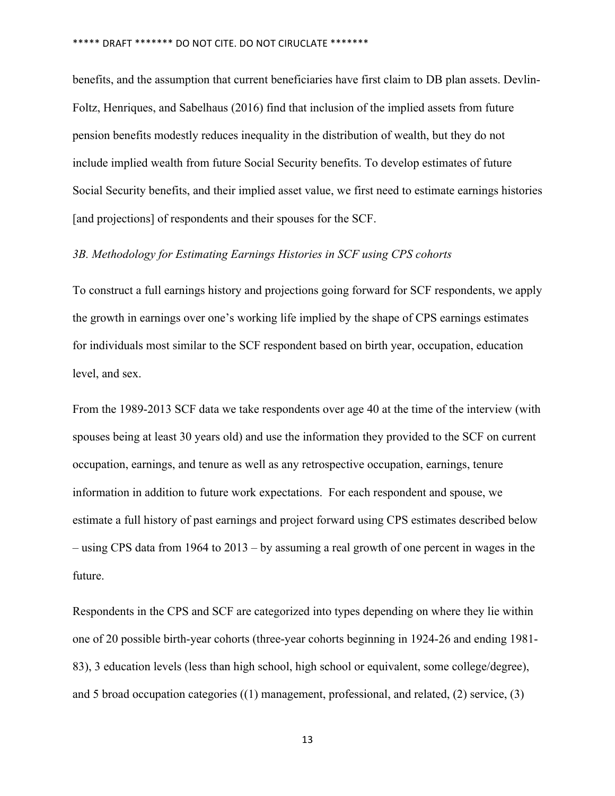benefits, and the assumption that current beneficiaries have first claim to DB plan assets. Devlin-Foltz, Henriques, and Sabelhaus (2016) find that inclusion of the implied assets from future pension benefits modestly reduces inequality in the distribution of wealth, but they do not include implied wealth from future Social Security benefits. To develop estimates of future Social Security benefits, and their implied asset value, we first need to estimate earnings histories [and projections] of respondents and their spouses for the SCF.

### *3B. Methodology for Estimating Earnings Histories in SCF using CPS cohorts*

To construct a full earnings history and projections going forward for SCF respondents, we apply the growth in earnings over one's working life implied by the shape of CPS earnings estimates for individuals most similar to the SCF respondent based on birth year, occupation, education level, and sex.

From the 1989-2013 SCF data we take respondents over age 40 at the time of the interview (with spouses being at least 30 years old) and use the information they provided to the SCF on current occupation, earnings, and tenure as well as any retrospective occupation, earnings, tenure information in addition to future work expectations. For each respondent and spouse, we estimate a full history of past earnings and project forward using CPS estimates described below – using CPS data from 1964 to 2013 – by assuming a real growth of one percent in wages in the future.

Respondents in the CPS and SCF are categorized into types depending on where they lie within one of 20 possible birth-year cohorts (three-year cohorts beginning in 1924-26 and ending 1981- 83), 3 education levels (less than high school, high school or equivalent, some college/degree), and 5 broad occupation categories ((1) management, professional, and related, (2) service, (3)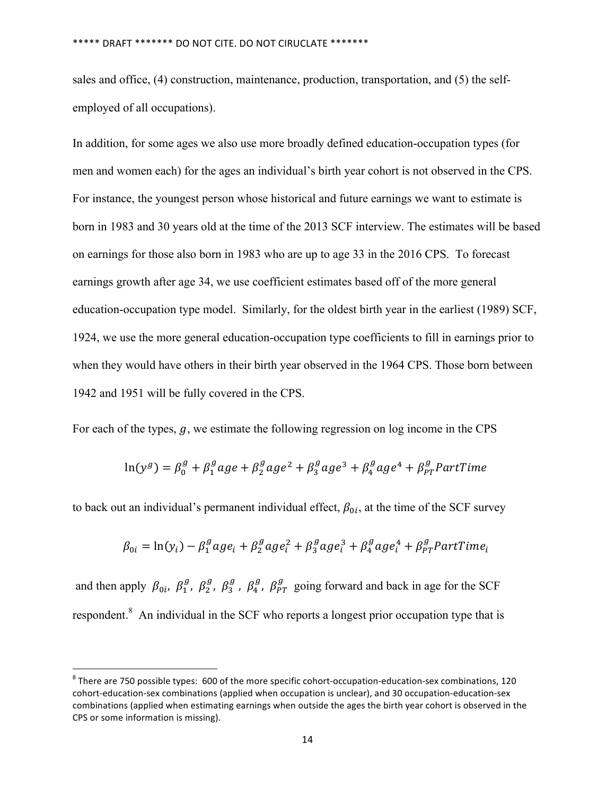sales and office, (4) construction, maintenance, production, transportation, and (5) the selfemployed of all occupations).

In addition, for some ages we also use more broadly defined education-occupation types (for men and women each) for the ages an individual's birth year cohort is not observed in the CPS. For instance, the youngest person whose historical and future earnings we want to estimate is born in 1983 and 30 years old at the time of the 2013 SCF interview. The estimates will be based on earnings for those also born in 1983 who are up to age 33 in the 2016 CPS. To forecast earnings growth after age 34, we use coefficient estimates based off of the more general education-occupation type model. Similarly, for the oldest birth year in the earliest (1989) SCF, 1924, we use the more general education-occupation type coefficients to fill in earnings prior to when they would have others in their birth year observed in the 1964 CPS. Those born between 1942 and 1951 will be fully covered in the CPS.

For each of the types,  $q$ , we estimate the following regression on log income in the CPS

$$
\ln(y^g) = \beta_0^g + \beta_1^g a g e + \beta_2^g a g e^2 + \beta_3^g a g e^3 + \beta_4^g a g e^4 + \beta_{pT}^g PartTime
$$

to back out an individual's permanent individual effect,  $\beta_{0i}$ , at the time of the SCF survey

$$
\beta_{0i} = \ln(y_i) - \beta_1^g a g e_i + \beta_2^g a g e_i^2 + \beta_3^g a g e_i^3 + \beta_4^g a g e_i^4 + \beta_{p}^g PartTime_i
$$

and then apply  $\beta_{0i}$ ,  $\beta_1^g$ ,  $\beta_2^g$ ,  $\beta_3^g$ ,  $\beta_4^g$ ,  $\beta_{PT}^g$  going forward and back in age for the SCF respondent.<sup>8</sup> An individual in the SCF who reports a longest prior occupation type that is

<u> Andrew Maria (1989)</u>

 $8$  There are 750 possible types:  $600$  of the more specific cohort-occupation-education-sex combinations, 120 cohort-education-sex combinations (applied when occupation is unclear), and 30 occupation-education-sex combinations (applied when estimating earnings when outside the ages the birth year cohort is observed in the CPS or some information is missing).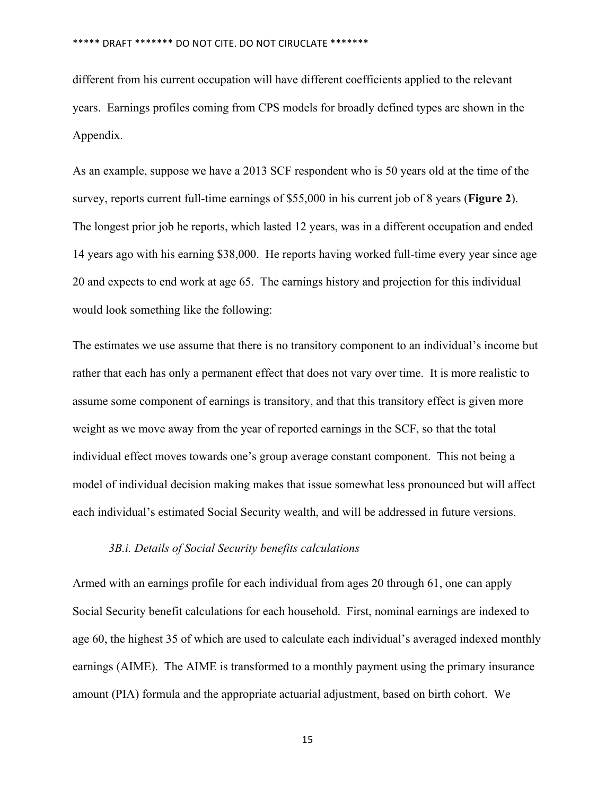different from his current occupation will have different coefficients applied to the relevant years. Earnings profiles coming from CPS models for broadly defined types are shown in the Appendix.

As an example, suppose we have a 2013 SCF respondent who is 50 years old at the time of the survey, reports current full-time earnings of \$55,000 in his current job of 8 years (**Figure 2**). The longest prior job he reports, which lasted 12 years, was in a different occupation and ended 14 years ago with his earning \$38,000. He reports having worked full-time every year since age 20 and expects to end work at age 65. The earnings history and projection for this individual would look something like the following:

The estimates we use assume that there is no transitory component to an individual's income but rather that each has only a permanent effect that does not vary over time. It is more realistic to assume some component of earnings is transitory, and that this transitory effect is given more weight as we move away from the year of reported earnings in the SCF, so that the total individual effect moves towards one's group average constant component. This not being a model of individual decision making makes that issue somewhat less pronounced but will affect each individual's estimated Social Security wealth, and will be addressed in future versions.

#### *3B.i. Details of Social Security benefits calculations*

Armed with an earnings profile for each individual from ages 20 through 61, one can apply Social Security benefit calculations for each household. First, nominal earnings are indexed to age 60, the highest 35 of which are used to calculate each individual's averaged indexed monthly earnings (AIME). The AIME is transformed to a monthly payment using the primary insurance amount (PIA) formula and the appropriate actuarial adjustment, based on birth cohort. We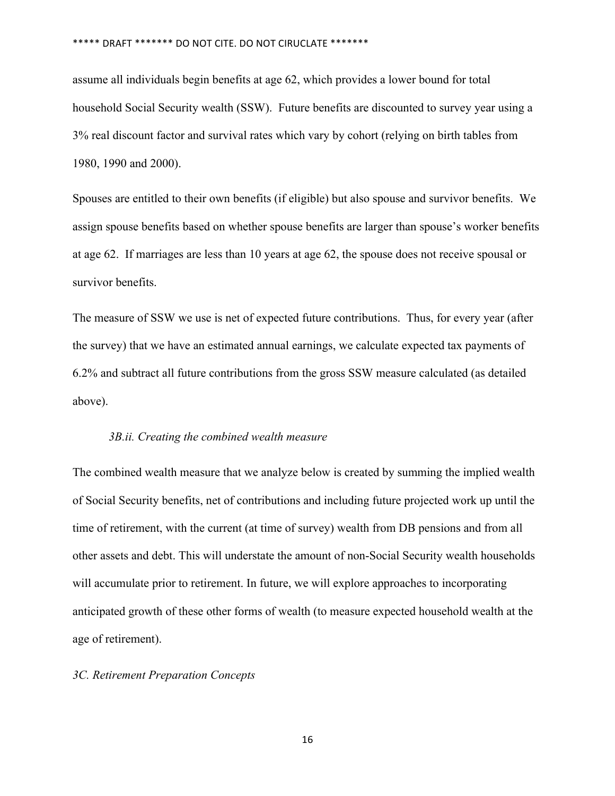assume all individuals begin benefits at age 62, which provides a lower bound for total household Social Security wealth (SSW). Future benefits are discounted to survey year using a 3% real discount factor and survival rates which vary by cohort (relying on birth tables from 1980, 1990 and 2000).

Spouses are entitled to their own benefits (if eligible) but also spouse and survivor benefits. We assign spouse benefits based on whether spouse benefits are larger than spouse's worker benefits at age 62. If marriages are less than 10 years at age 62, the spouse does not receive spousal or survivor benefits.

The measure of SSW we use is net of expected future contributions. Thus, for every year (after the survey) that we have an estimated annual earnings, we calculate expected tax payments of 6.2% and subtract all future contributions from the gross SSW measure calculated (as detailed above).

#### *3B.ii. Creating the combined wealth measure*

The combined wealth measure that we analyze below is created by summing the implied wealth of Social Security benefits, net of contributions and including future projected work up until the time of retirement, with the current (at time of survey) wealth from DB pensions and from all other assets and debt. This will understate the amount of non-Social Security wealth households will accumulate prior to retirement. In future, we will explore approaches to incorporating anticipated growth of these other forms of wealth (to measure expected household wealth at the age of retirement).

### *3C. Retirement Preparation Concepts*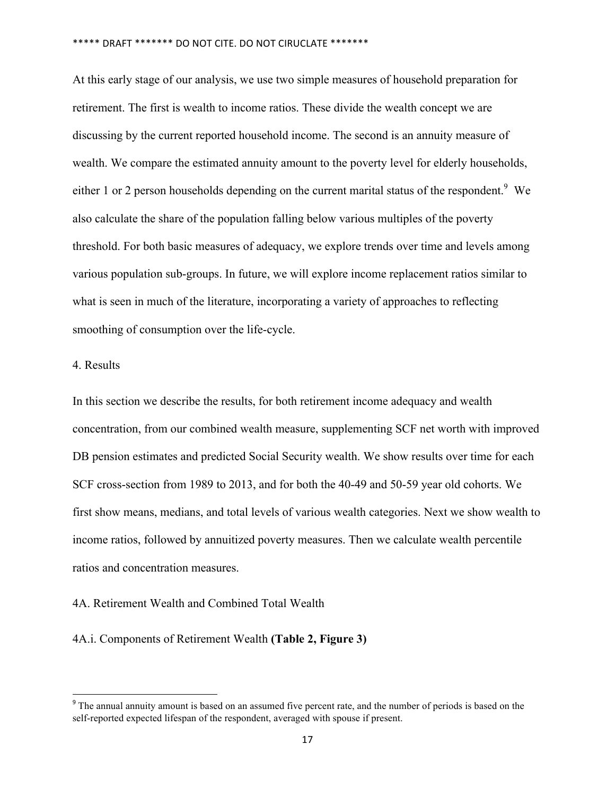At this early stage of our analysis, we use two simple measures of household preparation for retirement. The first is wealth to income ratios. These divide the wealth concept we are discussing by the current reported household income. The second is an annuity measure of wealth. We compare the estimated annuity amount to the poverty level for elderly households, either 1 or 2 person households depending on the current marital status of the respondent.<sup>9</sup> We also calculate the share of the population falling below various multiples of the poverty threshold. For both basic measures of adequacy, we explore trends over time and levels among various population sub-groups. In future, we will explore income replacement ratios similar to what is seen in much of the literature, incorporating a variety of approaches to reflecting smoothing of consumption over the life-cycle.

### 4. Results

In this section we describe the results, for both retirement income adequacy and wealth concentration, from our combined wealth measure, supplementing SCF net worth with improved DB pension estimates and predicted Social Security wealth. We show results over time for each SCF cross-section from 1989 to 2013, and for both the 40-49 and 50-59 year old cohorts. We first show means, medians, and total levels of various wealth categories. Next we show wealth to income ratios, followed by annuitized poverty measures. Then we calculate wealth percentile ratios and concentration measures.

### 4A. Retirement Wealth and Combined Total Wealth

<u> Andrew Maria (1989)</u>

#### 4A.i. Components of Retirement Wealth **(Table 2, Figure 3)**

<sup>&</sup>lt;sup>9</sup> The annual annuity amount is based on an assumed five percent rate, and the number of periods is based on the self-reported expected lifespan of the respondent, averaged with spouse if present.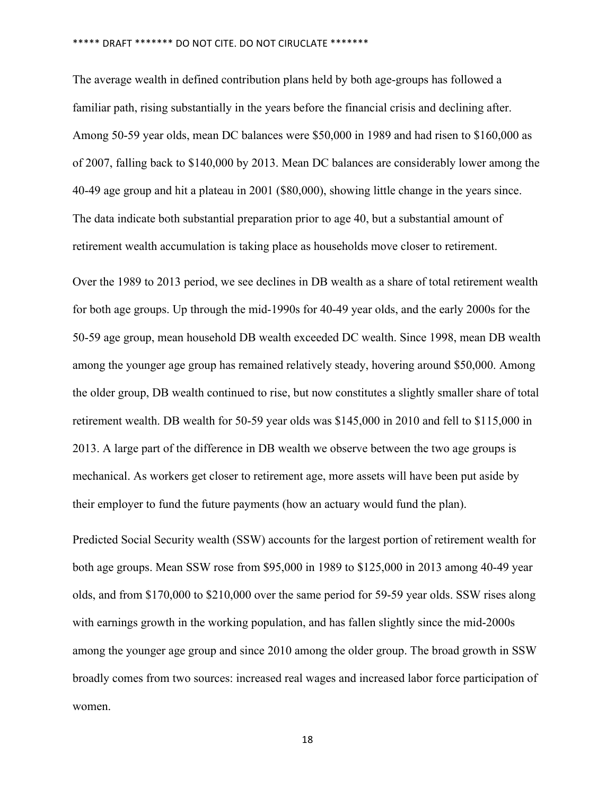The average wealth in defined contribution plans held by both age-groups has followed a familiar path, rising substantially in the years before the financial crisis and declining after. Among 50-59 year olds, mean DC balances were \$50,000 in 1989 and had risen to \$160,000 as of 2007, falling back to \$140,000 by 2013. Mean DC balances are considerably lower among the 40-49 age group and hit a plateau in 2001 (\$80,000), showing little change in the years since. The data indicate both substantial preparation prior to age 40, but a substantial amount of retirement wealth accumulation is taking place as households move closer to retirement.

Over the 1989 to 2013 period, we see declines in DB wealth as a share of total retirement wealth for both age groups. Up through the mid-1990s for 40-49 year olds, and the early 2000s for the 50-59 age group, mean household DB wealth exceeded DC wealth. Since 1998, mean DB wealth among the younger age group has remained relatively steady, hovering around \$50,000. Among the older group, DB wealth continued to rise, but now constitutes a slightly smaller share of total retirement wealth. DB wealth for 50-59 year olds was \$145,000 in 2010 and fell to \$115,000 in 2013. A large part of the difference in DB wealth we observe between the two age groups is mechanical. As workers get closer to retirement age, more assets will have been put aside by their employer to fund the future payments (how an actuary would fund the plan). 

Predicted Social Security wealth (SSW) accounts for the largest portion of retirement wealth for both age groups. Mean SSW rose from \$95,000 in 1989 to \$125,000 in 2013 among 40-49 year olds, and from \$170,000 to \$210,000 over the same period for 59-59 year olds. SSW rises along with earnings growth in the working population, and has fallen slightly since the mid-2000s among the younger age group and since 2010 among the older group. The broad growth in SSW broadly comes from two sources: increased real wages and increased labor force participation of women.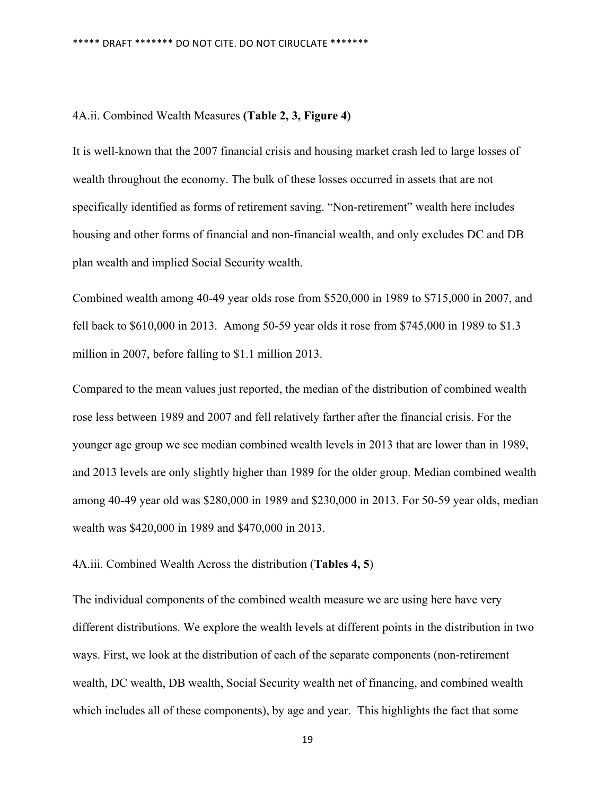#### 4A.ii. Combined Wealth Measures **(Table 2, 3, Figure 4)**

It is well-known that the 2007 financial crisis and housing market crash led to large losses of wealth throughout the economy. The bulk of these losses occurred in assets that are not specifically identified as forms of retirement saving. "Non-retirement" wealth here includes housing and other forms of financial and non-financial wealth, and only excludes DC and DB plan wealth and implied Social Security wealth.

Combined wealth among 40-49 year olds rose from \$520,000 in 1989 to \$715,000 in 2007, and fell back to \$610,000 in 2013. Among 50-59 year olds it rose from \$745,000 in 1989 to \$1.3 million in 2007, before falling to \$1.1 million 2013.

Compared to the mean values just reported, the median of the distribution of combined wealth rose less between 1989 and 2007 and fell relatively farther after the financial crisis. For the younger age group we see median combined wealth levels in 2013 that are lower than in 1989, and 2013 levels are only slightly higher than 1989 for the older group. Median combined wealth among 40-49 year old was \$280,000 in 1989 and \$230,000 in 2013. For 50-59 year olds, median wealth was \$420,000 in 1989 and \$470,000 in 2013.

4A.iii. Combined Wealth Across the distribution (**Tables 4, 5**)

The individual components of the combined wealth measure we are using here have very different distributions. We explore the wealth levels at different points in the distribution in two ways. First, we look at the distribution of each of the separate components (non-retirement wealth, DC wealth, DB wealth, Social Security wealth net of financing, and combined wealth which includes all of these components), by age and year. This highlights the fact that some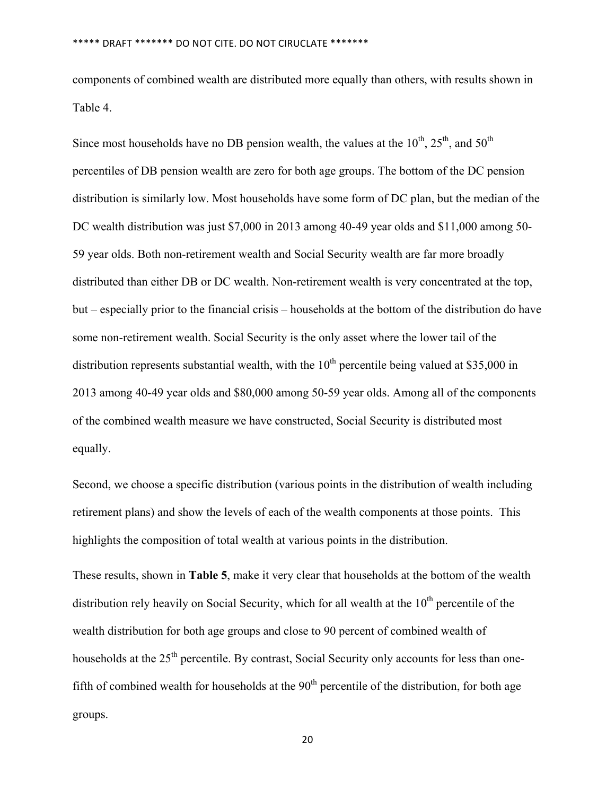components of combined wealth are distributed more equally than others, with results shown in Table 4.

Since most households have no DB pension wealth, the values at the  $10^{th}$ ,  $25^{th}$ , and  $50^{th}$ percentiles of DB pension wealth are zero for both age groups. The bottom of the DC pension distribution is similarly low. Most households have some form of DC plan, but the median of the DC wealth distribution was just \$7,000 in 2013 among 40-49 year olds and \$11,000 among 50- 59 year olds. Both non-retirement wealth and Social Security wealth are far more broadly distributed than either DB or DC wealth. Non-retirement wealth is very concentrated at the top, but – especially prior to the financial crisis – households at the bottom of the distribution do have some non-retirement wealth. Social Security is the only asset where the lower tail of the distribution represents substantial wealth, with the  $10<sup>th</sup>$  percentile being valued at \$35,000 in 2013 among 40-49 year olds and \$80,000 among 50-59 year olds. Among all of the components of the combined wealth measure we have constructed, Social Security is distributed most equally.

Second, we choose a specific distribution (various points in the distribution of wealth including retirement plans) and show the levels of each of the wealth components at those points. This highlights the composition of total wealth at various points in the distribution.

These results, shown in **Table 5**, make it very clear that households at the bottom of the wealth distribution rely heavily on Social Security, which for all wealth at the  $10<sup>th</sup>$  percentile of the wealth distribution for both age groups and close to 90 percent of combined wealth of households at the  $25<sup>th</sup>$  percentile. By contrast, Social Security only accounts for less than onefifth of combined wealth for households at the  $90<sup>th</sup>$  percentile of the distribution, for both age groups.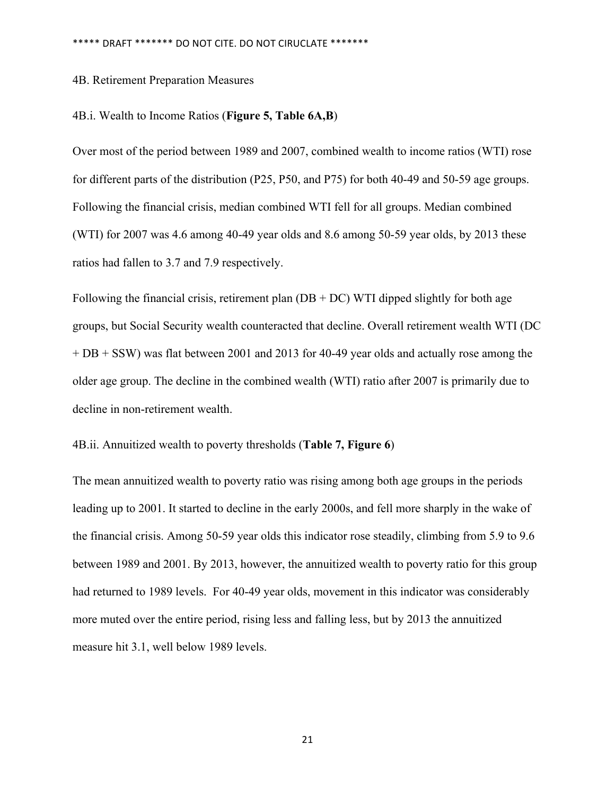#### 4B. Retirement Preparation Measures

#### 4B.i. Wealth to Income Ratios (**Figure 5, Table 6A,B**)

Over most of the period between 1989 and 2007, combined wealth to income ratios (WTI) rose for different parts of the distribution (P25, P50, and P75) for both 40-49 and 50-59 age groups. Following the financial crisis, median combined WTI fell for all groups. Median combined (WTI) for 2007 was 4.6 among 40-49 year olds and 8.6 among 50-59 year olds, by 2013 these ratios had fallen to 3.7 and 7.9 respectively.

Following the financial crisis, retirement plan  $(DB + DC)$  WTI dipped slightly for both age groups, but Social Security wealth counteracted that decline. Overall retirement wealth WTI (DC + DB + SSW) was flat between 2001 and 2013 for 40-49 year olds and actually rose among the older age group. The decline in the combined wealth (WTI) ratio after 2007 is primarily due to decline in non-retirement wealth.

#### 4B.ii. Annuitized wealth to poverty thresholds (**Table 7, Figure 6**)

The mean annuitized wealth to poverty ratio was rising among both age groups in the periods leading up to 2001. It started to decline in the early 2000s, and fell more sharply in the wake of the financial crisis. Among 50-59 year olds this indicator rose steadily, climbing from 5.9 to 9.6 between 1989 and 2001. By 2013, however, the annuitized wealth to poverty ratio for this group had returned to 1989 levels. For 40-49 year olds, movement in this indicator was considerably more muted over the entire period, rising less and falling less, but by 2013 the annuitized measure hit 3.1, well below 1989 levels.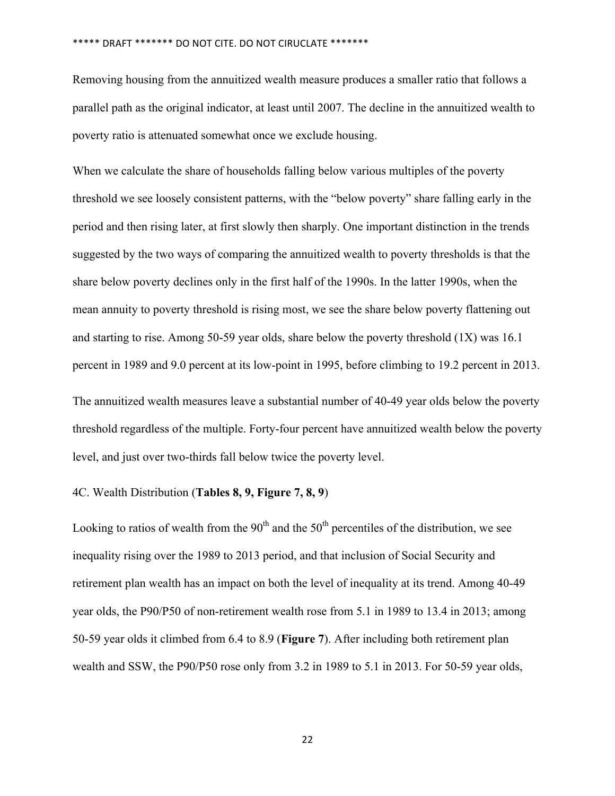Removing housing from the annuitized wealth measure produces a smaller ratio that follows a parallel path as the original indicator, at least until 2007. The decline in the annuitized wealth to poverty ratio is attenuated somewhat once we exclude housing.

When we calculate the share of households falling below various multiples of the poverty threshold we see loosely consistent patterns, with the "below poverty" share falling early in the period and then rising later, at first slowly then sharply. One important distinction in the trends suggested by the two ways of comparing the annuitized wealth to poverty thresholds is that the share below poverty declines only in the first half of the 1990s. In the latter 1990s, when the mean annuity to poverty threshold is rising most, we see the share below poverty flattening out and starting to rise. Among 50-59 year olds, share below the poverty threshold  $(1X)$  was 16.1 percent in 1989 and 9.0 percent at its low-point in 1995, before climbing to 19.2 percent in 2013.

The annuitized wealth measures leave a substantial number of 40-49 year olds below the poverty threshold regardless of the multiple. Forty-four percent have annuitized wealth below the poverty level, and just over two-thirds fall below twice the poverty level.

#### 4C. Wealth Distribution (**Tables 8, 9, Figure 7, 8, 9**)

Looking to ratios of wealth from the  $90<sup>th</sup>$  and the  $50<sup>th</sup>$  percentiles of the distribution, we see inequality rising over the 1989 to 2013 period, and that inclusion of Social Security and retirement plan wealth has an impact on both the level of inequality at its trend. Among 40-49 year olds, the P90/P50 of non-retirement wealth rose from 5.1 in 1989 to 13.4 in 2013; among 50-59 year olds it climbed from 6.4 to 8.9 (**Figure 7**). After including both retirement plan wealth and SSW, the P90/P50 rose only from 3.2 in 1989 to 5.1 in 2013. For 50-59 year olds,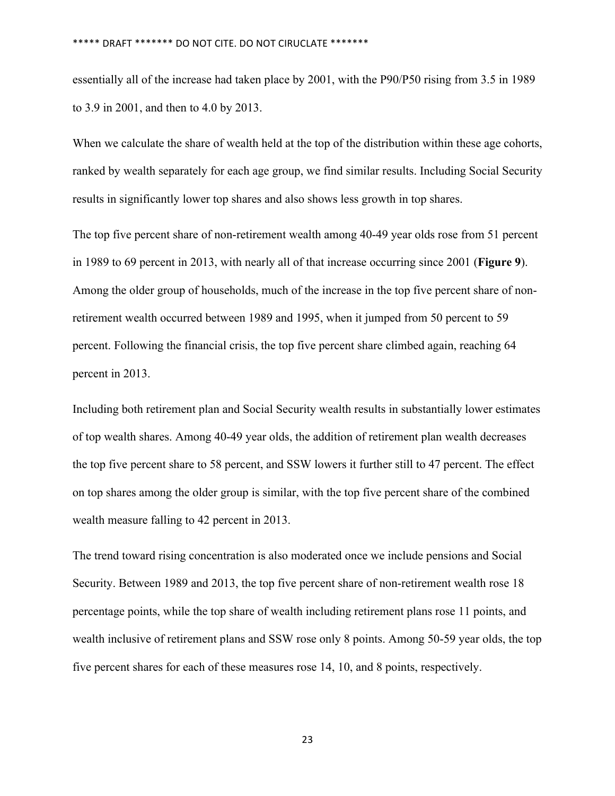essentially all of the increase had taken place by 2001, with the P90/P50 rising from 3.5 in 1989 to 3.9 in 2001, and then to 4.0 by 2013.

When we calculate the share of wealth held at the top of the distribution within these age cohorts, ranked by wealth separately for each age group, we find similar results. Including Social Security results in significantly lower top shares and also shows less growth in top shares.

The top five percent share of non-retirement wealth among 40-49 year olds rose from 51 percent in 1989 to 69 percent in 2013, with nearly all of that increase occurring since 2001 (**Figure 9**). Among the older group of households, much of the increase in the top five percent share of nonretirement wealth occurred between 1989 and 1995, when it jumped from 50 percent to 59 percent. Following the financial crisis, the top five percent share climbed again, reaching 64 percent in 2013.

Including both retirement plan and Social Security wealth results in substantially lower estimates of top wealth shares. Among 40-49 year olds, the addition of retirement plan wealth decreases the top five percent share to 58 percent, and SSW lowers it further still to 47 percent. The effect on top shares among the older group is similar, with the top five percent share of the combined wealth measure falling to 42 percent in 2013.

The trend toward rising concentration is also moderated once we include pensions and Social Security. Between 1989 and 2013, the top five percent share of non-retirement wealth rose 18 percentage points, while the top share of wealth including retirement plans rose 11 points, and wealth inclusive of retirement plans and SSW rose only 8 points. Among 50-59 year olds, the top five percent shares for each of these measures rose 14, 10, and 8 points, respectively.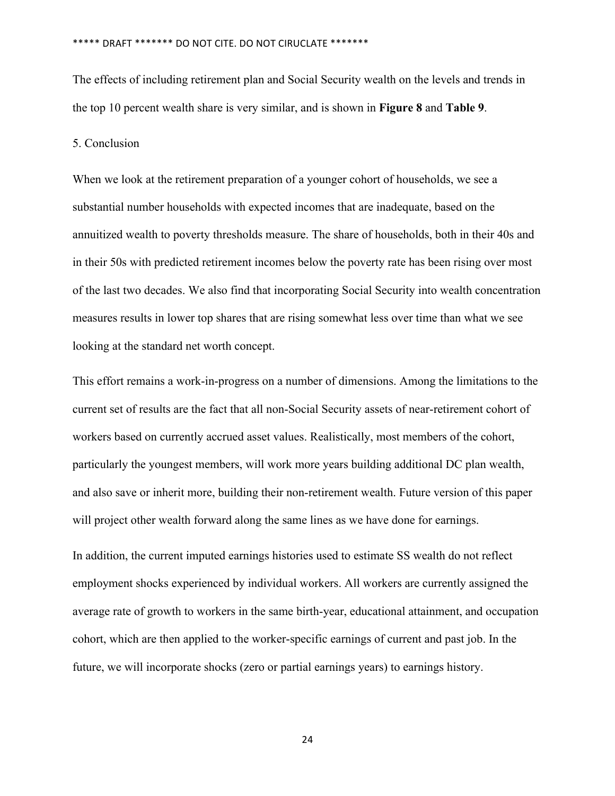The effects of including retirement plan and Social Security wealth on the levels and trends in the top 10 percent wealth share is very similar, and is shown in **Figure 8** and **Table 9**.

### 5. Conclusion

When we look at the retirement preparation of a younger cohort of households, we see a substantial number households with expected incomes that are inadequate, based on the annuitized wealth to poverty thresholds measure. The share of households, both in their 40s and in their 50s with predicted retirement incomes below the poverty rate has been rising over most of the last two decades. We also find that incorporating Social Security into wealth concentration measures results in lower top shares that are rising somewhat less over time than what we see looking at the standard net worth concept.

This effort remains a work-in-progress on a number of dimensions. Among the limitations to the current set of results are the fact that all non-Social Security assets of near-retirement cohort of workers based on currently accrued asset values. Realistically, most members of the cohort, particularly the youngest members, will work more years building additional DC plan wealth, and also save or inherit more, building their non-retirement wealth. Future version of this paper will project other wealth forward along the same lines as we have done for earnings.

In addition, the current imputed earnings histories used to estimate SS wealth do not reflect employment shocks experienced by individual workers. All workers are currently assigned the average rate of growth to workers in the same birth-year, educational attainment, and occupation cohort, which are then applied to the worker-specific earnings of current and past job. In the future, we will incorporate shocks (zero or partial earnings years) to earnings history.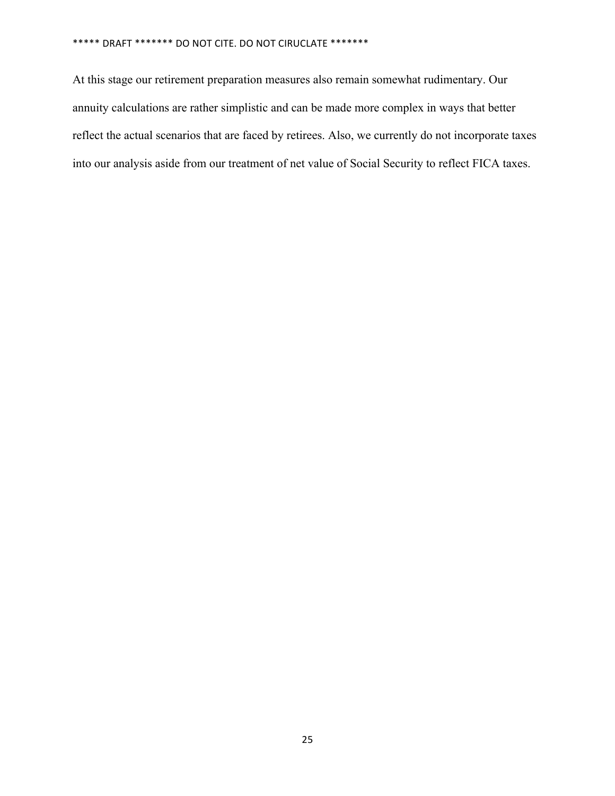At this stage our retirement preparation measures also remain somewhat rudimentary. Our annuity calculations are rather simplistic and can be made more complex in ways that better reflect the actual scenarios that are faced by retirees. Also, we currently do not incorporate taxes into our analysis aside from our treatment of net value of Social Security to reflect FICA taxes.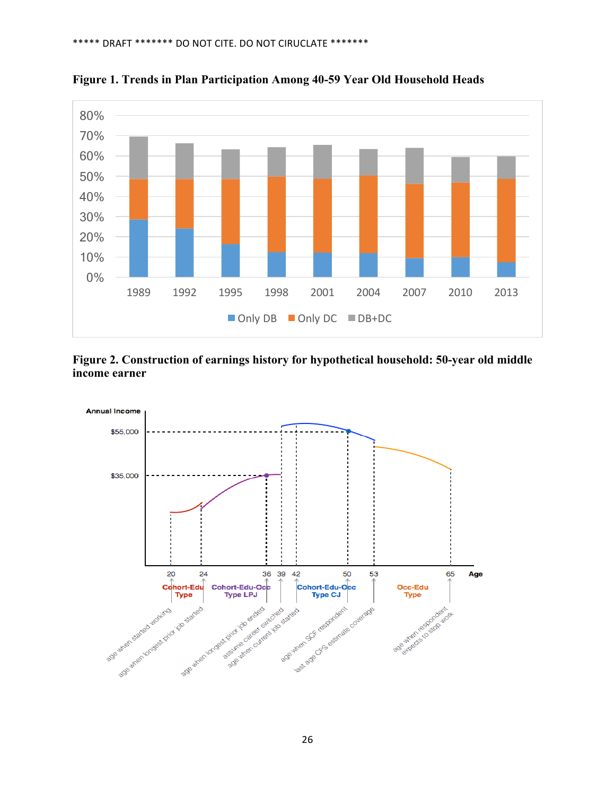

**Figure 1. Trends in Plan Participation Among 40-59 Year Old Household Heads**

**Figure 2. Construction of earnings history for hypothetical household: 50-year old middle income earner** 

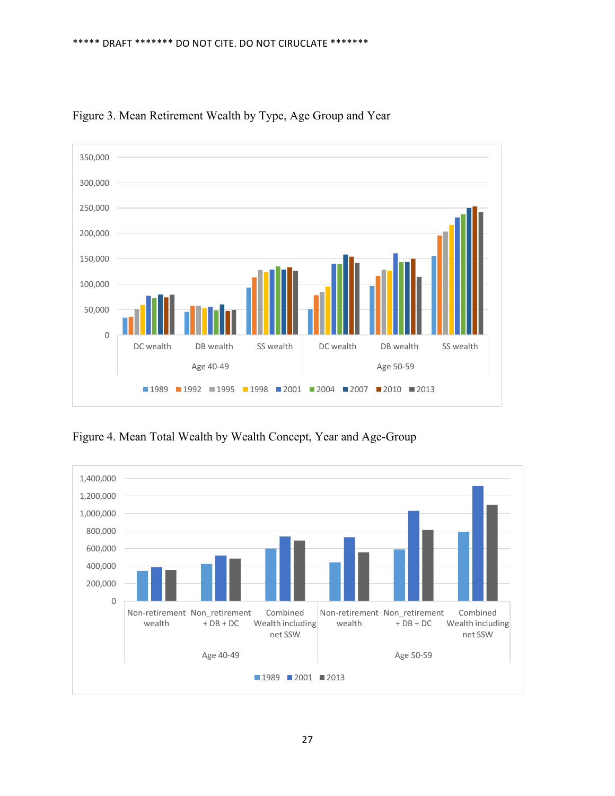

Figure 3. Mean Retirement Wealth by Type, Age Group and Year

Figure 4. Mean Total Wealth by Wealth Concept, Year and Age-Group

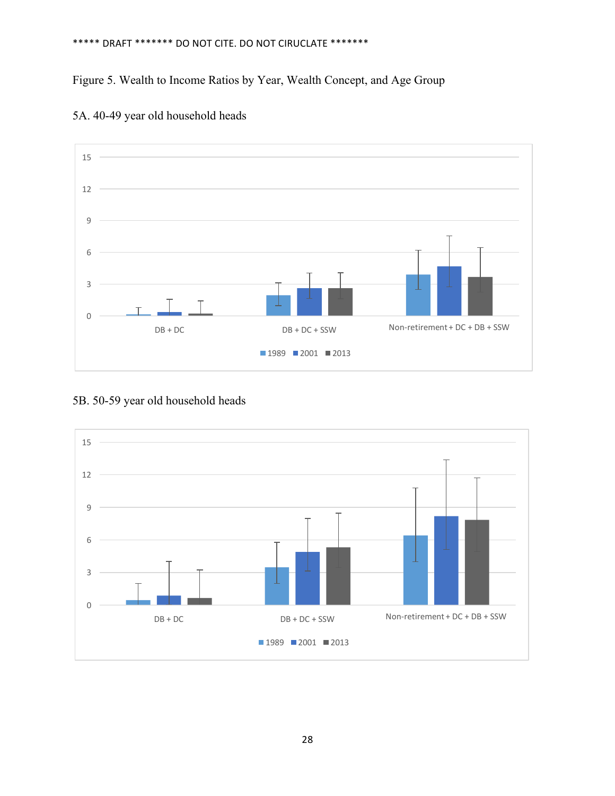## Figure 5. Wealth to Income Ratios by Year, Wealth Concept, and Age Group



5A. 40-49 year old household heads

### 5B. 50-59 year old household heads

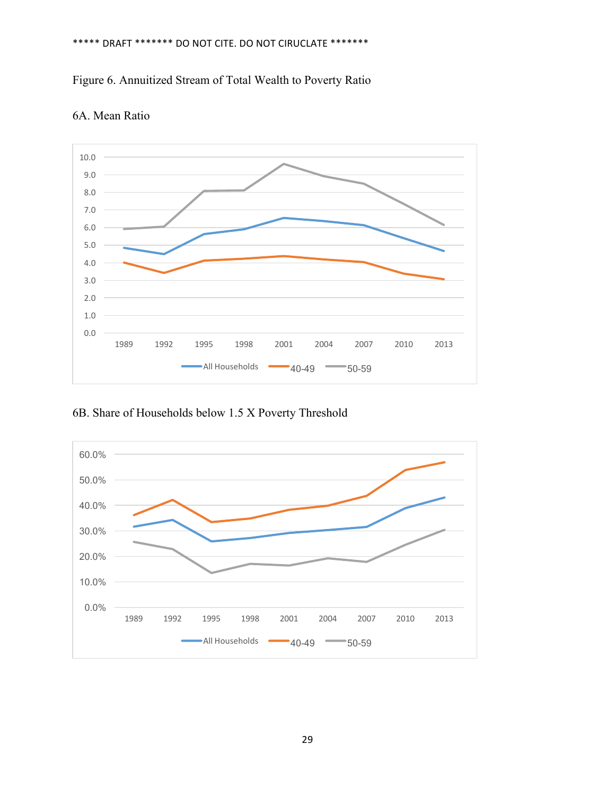



### 6A. Mean Ratio

6B. Share of Households below 1.5 X Poverty Threshold

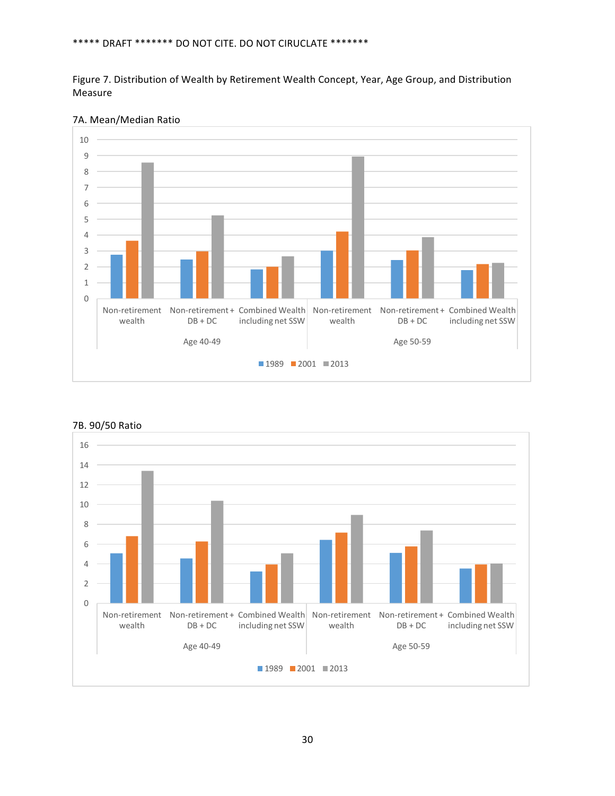Figure 7. Distribution of Wealth by Retirement Wealth Concept, Year, Age Group, and Distribution Measure



7A. Mean/Median Ratio



7B. 90/50 Ratio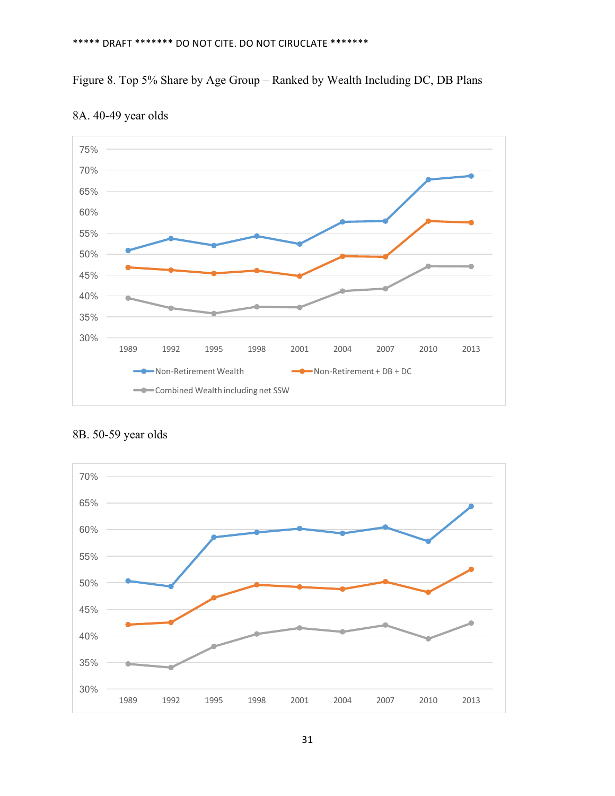## Figure 8. Top 5% Share by Age Group – Ranked by Wealth Including DC, DB Plans





8B. 50-59 year olds

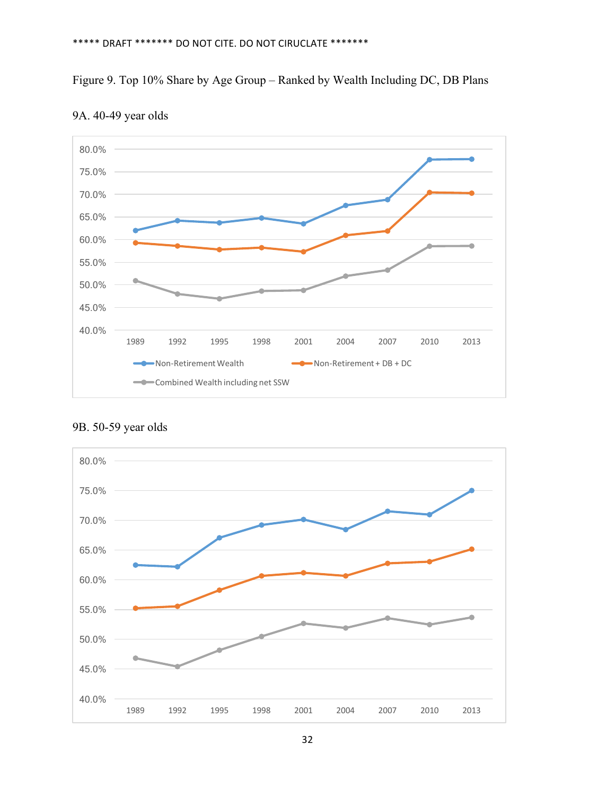## Figure 9. Top 10% Share by Age Group – Ranked by Wealth Including DC, DB Plans



### 9A. 40-49 year olds



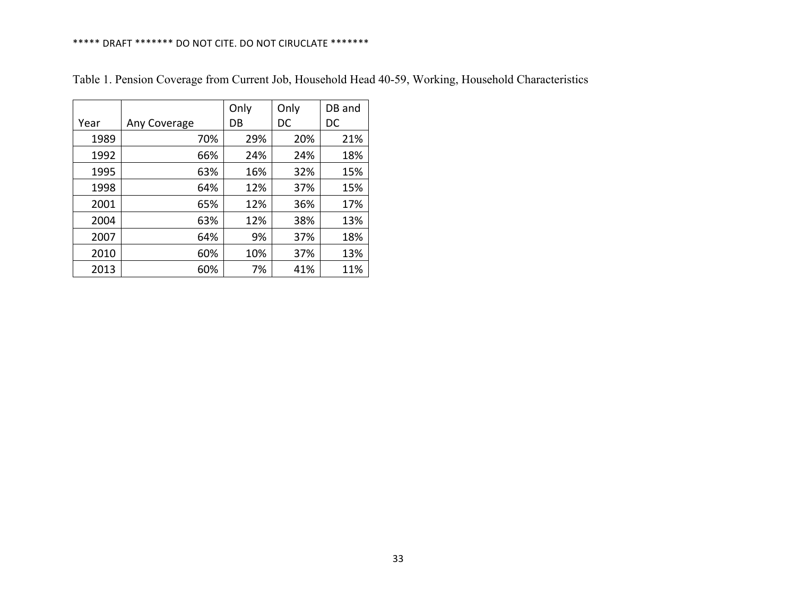|      |              | Only | Only | DB and |
|------|--------------|------|------|--------|
| Year | Any Coverage | DB   | DC   | DC     |
| 1989 | 70%          | 29%  | 20%  | 21%    |
| 1992 | 66%          | 24%  | 24%  | 18%    |
| 1995 | 63%          | 16%  | 32%  | 15%    |
| 1998 | 64%          | 12%  | 37%  | 15%    |
| 2001 | 65%          | 12%  | 36%  | 17%    |
| 2004 | 63%          | 12%  | 38%  | 13%    |
| 2007 | 64%          | 9%   | 37%  | 18%    |
| 2010 | 60%          | 10%  | 37%  | 13%    |
| 2013 | 60%          | 7%   | 41%  | 11%    |

Table 1. Pension Coverage from Current Job, Household Head 40-59, Working, Household Characteristics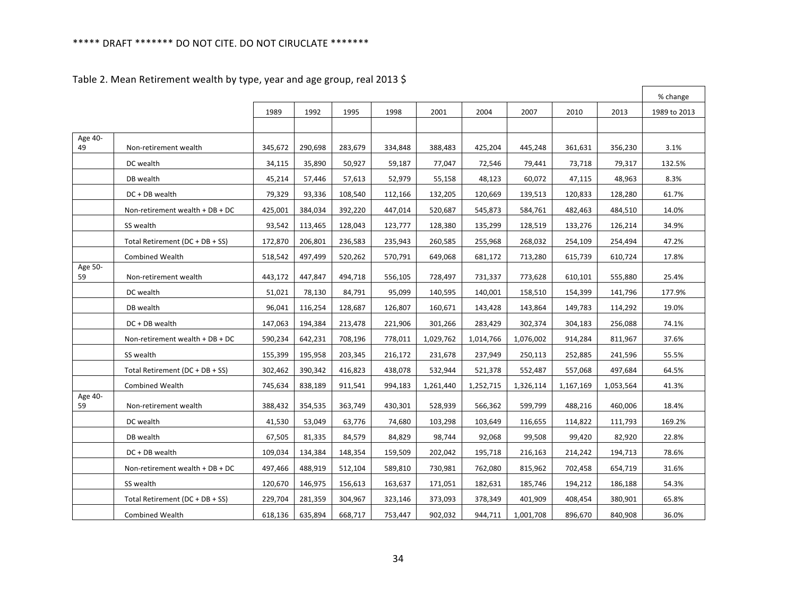|               |                                 |         |         |         |         |           |           |           |           |           | % change     |
|---------------|---------------------------------|---------|---------|---------|---------|-----------|-----------|-----------|-----------|-----------|--------------|
|               |                                 | 1989    | 1992    | 1995    | 1998    | 2001      | 2004      | 2007      | 2010      | 2013      | 1989 to 2013 |
|               |                                 |         |         |         |         |           |           |           |           |           |              |
| Age 40-<br>49 | Non-retirement wealth           | 345,672 | 290,698 | 283,679 | 334,848 | 388,483   | 425,204   | 445,248   | 361,631   | 356,230   | 3.1%         |
|               | DC wealth                       | 34,115  | 35.890  | 50,927  | 59,187  | 77,047    | 72,546    | 79,441    | 73,718    | 79,317    | 132.5%       |
|               | DB wealth                       | 45,214  | 57,446  | 57,613  | 52,979  | 55,158    | 48,123    | 60,072    | 47,115    | 48,963    | 8.3%         |
|               | DC + DB wealth                  | 79,329  | 93,336  | 108,540 | 112,166 | 132,205   | 120,669   | 139,513   | 120,833   | 128,280   | 61.7%        |
|               | Non-retirement wealth + DB + DC | 425,001 | 384,034 | 392,220 | 447,014 | 520,687   | 545,873   | 584,761   | 482,463   | 484,510   | 14.0%        |
|               | SS wealth                       | 93,542  | 113,465 | 128,043 | 123,777 | 128,380   | 135,299   | 128,519   | 133,276   | 126,214   | 34.9%        |
|               | Total Retirement (DC + DB + SS) | 172,870 | 206,801 | 236,583 | 235,943 | 260,585   | 255,968   | 268,032   | 254,109   | 254,494   | 47.2%        |
|               | <b>Combined Wealth</b>          | 518,542 | 497,499 | 520,262 | 570,791 | 649,068   | 681,172   | 713,280   | 615,739   | 610,724   | 17.8%        |
| Age 50-<br>59 | Non-retirement wealth           | 443,172 | 447,847 | 494,718 | 556,105 | 728,497   | 731,337   | 773,628   | 610,101   | 555,880   | 25.4%        |
|               | DC wealth                       | 51,021  | 78,130  | 84,791  | 95,099  | 140,595   | 140,001   | 158,510   | 154,399   | 141,796   | 177.9%       |
|               | DB wealth                       | 96,041  | 116,254 | 128,687 | 126,807 | 160,671   | 143,428   | 143,864   | 149,783   | 114,292   | 19.0%        |
|               | DC + DB wealth                  | 147,063 | 194,384 | 213,478 | 221,906 | 301,266   | 283,429   | 302,374   | 304,183   | 256,088   | 74.1%        |
|               | Non-retirement wealth + DB + DC | 590,234 | 642,231 | 708,196 | 778,011 | 1,029,762 | 1,014,766 | 1,076,002 | 914,284   | 811,967   | 37.6%        |
|               | SS wealth                       | 155,399 | 195,958 | 203,345 | 216,172 | 231,678   | 237,949   | 250,113   | 252,885   | 241,596   | 55.5%        |
|               | Total Retirement (DC + DB + SS) | 302,462 | 390,342 | 416,823 | 438,078 | 532,944   | 521,378   | 552,487   | 557,068   | 497,684   | 64.5%        |
|               | <b>Combined Wealth</b>          | 745,634 | 838,189 | 911,541 | 994,183 | 1,261,440 | 1,252,715 | 1,326,114 | 1,167,169 | 1,053,564 | 41.3%        |
| Age 40-<br>59 | Non-retirement wealth           | 388,432 | 354,535 | 363,749 | 430,301 | 528,939   | 566,362   | 599,799   | 488,216   | 460,006   | 18.4%        |
|               | DC wealth                       | 41,530  | 53,049  | 63,776  | 74,680  | 103,298   | 103,649   | 116,655   | 114,822   | 111,793   | 169.2%       |
|               | DB wealth                       | 67,505  | 81,335  | 84,579  | 84,829  | 98,744    | 92,068    | 99,508    | 99,420    | 82,920    | 22.8%        |
|               | DC + DB wealth                  | 109,034 | 134,384 | 148,354 | 159,509 | 202,042   | 195,718   | 216,163   | 214,242   | 194,713   | 78.6%        |
|               | Non-retirement wealth + DB + DC | 497,466 | 488,919 | 512,104 | 589,810 | 730,981   | 762,080   | 815,962   | 702,458   | 654,719   | 31.6%        |
|               | SS wealth                       | 120,670 | 146,975 | 156,613 | 163,637 | 171,051   | 182,631   | 185,746   | 194,212   | 186,188   | 54.3%        |
|               | Total Retirement (DC + DB + SS) | 229,704 | 281,359 | 304,967 | 323,146 | 373,093   | 378,349   | 401,909   | 408,454   | 380,901   | 65.8%        |
|               | <b>Combined Wealth</b>          | 618,136 | 635,894 | 668,717 | 753,447 | 902,032   | 944,711   | 1,001,708 | 896,670   | 840,908   | 36.0%        |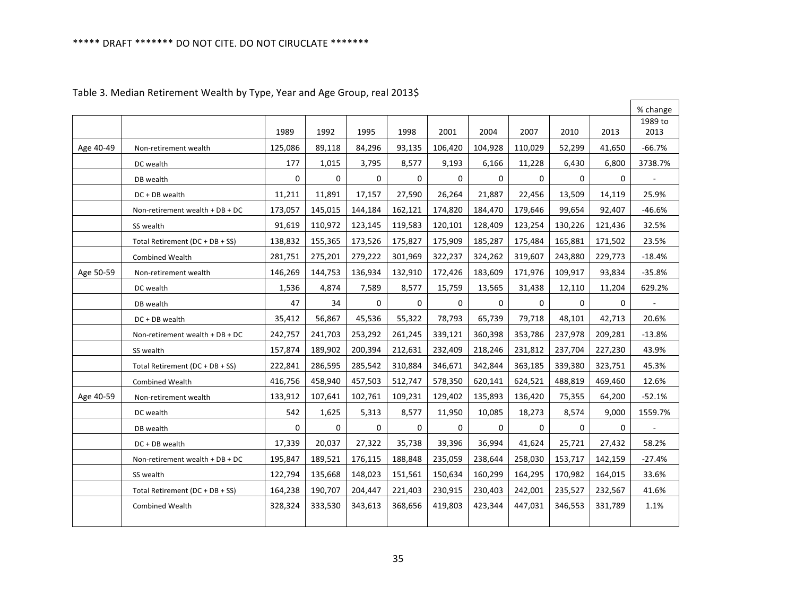|           |                                 |              |              |              |          |              |          |              |          |         | % change                 |
|-----------|---------------------------------|--------------|--------------|--------------|----------|--------------|----------|--------------|----------|---------|--------------------------|
|           |                                 | 1989         | 1992         | 1995         | 1998     | 2001         | 2004     | 2007         | 2010     | 2013    | 1989 to<br>2013          |
|           |                                 |              |              |              |          |              |          |              |          |         |                          |
| Age 40-49 | Non-retirement wealth           | 125,086      | 89,118       | 84,296       | 93,135   | 106,420      | 104,928  | 110,029      | 52,299   | 41,650  | -66.7%                   |
|           | DC wealth                       | 177          | 1,015        | 3,795        | 8,577    | 9,193        | 6,166    | 11,228       | 6,430    | 6,800   | 3738.7%                  |
|           | DB wealth                       | $\mathbf{0}$ | 0            | $\Omega$     | $\Omega$ | 0            | 0        | 0            | 0        | 0       |                          |
|           | DC + DB wealth                  | 11,211       | 11,891       | 17,157       | 27,590   | 26.264       | 21,887   | 22,456       | 13.509   | 14,119  | 25.9%                    |
|           | Non-retirement wealth + DB + DC | 173,057      | 145,015      | 144,184      | 162,121  | 174,820      | 184,470  | 179,646      | 99,654   | 92,407  | $-46.6%$                 |
|           | SS wealth                       | 91.619       | 110.972      | 123.145      | 119.583  | 120.101      | 128.409  | 123,254      | 130.226  | 121.436 | 32.5%                    |
|           | Total Retirement (DC + DB + SS) | 138,832      | 155,365      | 173,526      | 175,827  | 175,909      | 185,287  | 175,484      | 165,881  | 171,502 | 23.5%                    |
|           | <b>Combined Wealth</b>          | 281,751      | 275,201      | 279,222      | 301,969  | 322,237      | 324,262  | 319,607      | 243,880  | 229,773 | $-18.4%$                 |
| Age 50-59 | Non-retirement wealth           | 146,269      | 144,753      | 136,934      | 132,910  | 172,426      | 183,609  | 171,976      | 109,917  | 93,834  | $-35.8%$                 |
|           | DC wealth                       | 1,536        | 4,874        | 7,589        | 8,577    | 15,759       | 13,565   | 31,438       | 12,110   | 11,204  | 629.2%                   |
|           | DB wealth                       | 47           | 34           | $\mathbf{0}$ | 0        | 0            | 0        | 0            | $\Omega$ | 0       | $\overline{\phantom{a}}$ |
|           | DC + DB wealth                  | 35,412       | 56,867       | 45,536       | 55,322   | 78,793       | 65,739   | 79,718       | 48,101   | 42,713  | 20.6%                    |
|           | Non-retirement wealth + DB + DC | 242,757      | 241,703      | 253,292      | 261,245  | 339,121      | 360,398  | 353,786      | 237,978  | 209,281 | $-13.8%$                 |
|           | SS wealth                       | 157,874      | 189,902      | 200.394      | 212.631  | 232.409      | 218.246  | 231,812      | 237,704  | 227,230 | 43.9%                    |
|           | Total Retirement (DC + DB + SS) | 222,841      | 286,595      | 285,542      | 310,884  | 346,671      | 342,844  | 363,185      | 339,380  | 323,751 | 45.3%                    |
|           | <b>Combined Wealth</b>          | 416,756      | 458,940      | 457,503      | 512.747  | 578,350      | 620,141  | 624,521      | 488,819  | 469,460 | 12.6%                    |
| Age 40-59 | Non-retirement wealth           | 133,912      | 107,641      | 102,761      | 109,231  | 129,402      | 135,893  | 136,420      | 75,355   | 64,200  | $-52.1%$                 |
|           | DC wealth                       | 542          | 1,625        | 5,313        | 8,577    | 11,950       | 10,085   | 18,273       | 8,574    | 9,000   | 1559.7%                  |
|           | DB wealth                       | $\Omega$     | $\mathbf{0}$ | $\mathbf{0}$ | $\Omega$ | $\mathbf{0}$ | $\Omega$ | $\mathbf{0}$ | $\Omega$ | 0       | $\blacksquare$           |
|           | DC + DB wealth                  | 17,339       | 20,037       | 27,322       | 35,738   | 39,396       | 36,994   | 41,624       | 25,721   | 27,432  | 58.2%                    |
|           | Non-retirement wealth + DB + DC | 195,847      | 189.521      | 176,115      | 188.848  | 235.059      | 238.644  | 258,030      | 153.717  | 142,159 | $-27.4%$                 |
|           | SS wealth                       | 122,794      | 135,668      | 148,023      | 151,561  | 150,634      | 160,299  | 164,295      | 170,982  | 164,015 | 33.6%                    |
|           | Total Retirement (DC + DB + SS) | 164,238      | 190,707      | 204,447      | 221,403  | 230,915      | 230,403  | 242,001      | 235,527  | 232,567 | 41.6%                    |
|           | <b>Combined Wealth</b>          | 328,324      | 333,530      | 343,613      | 368,656  | 419.803      | 423,344  | 447,031      | 346,553  | 331,789 | 1.1%                     |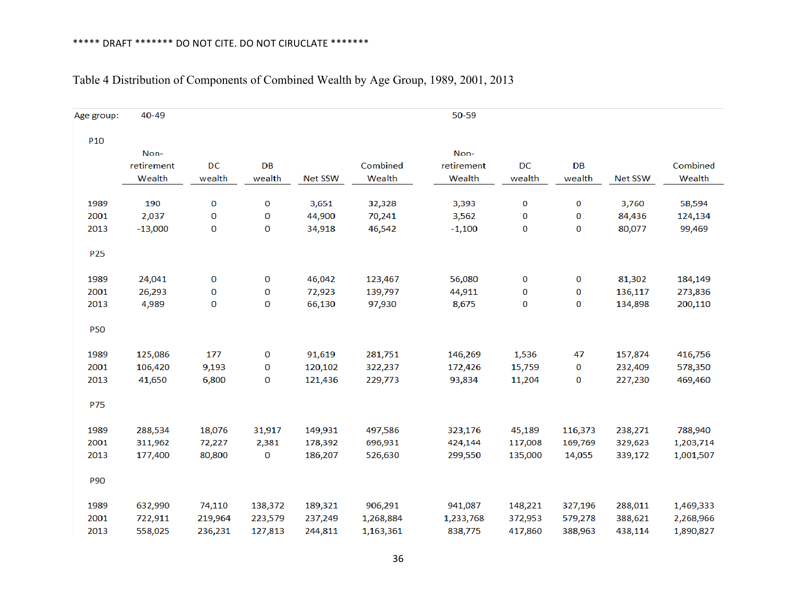| Age group:      | 40-49      |         |         |                |           | 50-59      |         |         |                |           |
|-----------------|------------|---------|---------|----------------|-----------|------------|---------|---------|----------------|-----------|
| P <sub>10</sub> |            |         |         |                |           |            |         |         |                |           |
|                 | Non-       |         |         |                |           | Non-       |         |         |                |           |
|                 | retirement | DC      | DB      |                | Combined  | retirement | DC      | DB      |                | Combined  |
|                 | Wealth     | wealth  | wealth  | <b>Net SSW</b> | Wealth    | Wealth     | wealth  | wealth  | <b>Net SSW</b> | Wealth    |
| 1989            | 190        | 0       | 0       | 3,651          | 32,328    | 3,393      | 0       | 0       | 3,760          | 58,594    |
|                 | 2,037      |         |         |                | 70,241    |            |         |         |                |           |
| 2001            |            | 0       | 0       | 44,900         |           | 3,562      | 0       | 0       | 84,436         | 124,134   |
| 2013            | $-13,000$  | 0       | 0       | 34,918         | 46,542    | $-1,100$   | 0       | 0       | 80,077         | 99,469    |
| P <sub>25</sub> |            |         |         |                |           |            |         |         |                |           |
| 1989            | 24,041     | 0       | 0       | 46,042         | 123,467   | 56,080     | 0       | 0       | 81,302         | 184,149   |
| 2001            | 26,293     | 0       | 0       | 72,923         | 139,797   | 44,911     | 0       | 0       | 136,117        | 273,836   |
| 2013            | 4,989      | 0       | 0       | 66,130         | 97,930    | 8,675      | 0       | 0       | 134,898        | 200,110   |
|                 |            |         |         |                |           |            |         |         |                |           |
| <b>P50</b>      |            |         |         |                |           |            |         |         |                |           |
| 1989            | 125,086    | 177     | 0       | 91,619         | 281,751   | 146,269    | 1,536   | 47      | 157,874        | 416,756   |
| 2001            | 106,420    | 9,193   | 0       | 120,102        | 322,237   | 172,426    | 15,759  | 0       | 232,409        | 578,350   |
| 2013            | 41,650     | 6,800   | 0       | 121,436        | 229,773   | 93,834     | 11,204  | 0       | 227,230        | 469,460   |
|                 |            |         |         |                |           |            |         |         |                |           |
| P75             |            |         |         |                |           |            |         |         |                |           |
| 1989            | 288,534    | 18,076  | 31,917  | 149,931        | 497,586   | 323,176    | 45,189  | 116,373 | 238,271        | 788,940   |
| 2001            | 311,962    | 72,227  | 2,381   | 178,392        | 696,931   | 424,144    | 117,008 | 169,769 | 329,623        | 1,203,714 |
| 2013            | 177,400    | 80,800  | 0       | 186,207        | 526,630   | 299,550    | 135,000 | 14,055  | 339,172        | 1,001,507 |
| P90             |            |         |         |                |           |            |         |         |                |           |
| 1989            | 632,990    | 74,110  | 138,372 | 189,321        | 906,291   | 941,087    | 148,221 | 327,196 | 288,011        | 1,469,333 |
| 2001            | 722,911    | 219,964 | 223,579 | 237,249        | 1,268,884 | 1,233,768  | 372,953 | 579,278 | 388,621        | 2,268,966 |
| 2013            | 558,025    | 236,231 | 127,813 | 244,811        | 1,163,361 | 838,775    | 417,860 | 388,963 | 438,114        | 1,890,827 |
|                 |            |         |         |                |           |            |         |         |                |           |

# Table 4 Distribution of Components of Combined Wealth by Age Group, 1989, 2001, 2013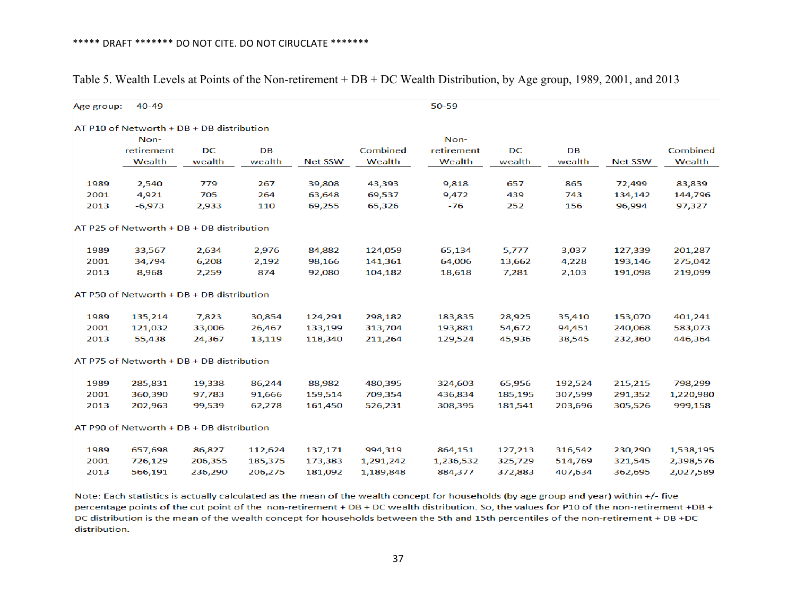| Age group: | $40 - 49$                                 |         |         |                |           | 50-59      |         |           |                |           |
|------------|-------------------------------------------|---------|---------|----------------|-----------|------------|---------|-----------|----------------|-----------|
|            | AT P10 of Networth + DB + DB distribution |         |         |                |           |            |         |           |                |           |
|            | Non-                                      |         |         |                |           | Non-       |         |           |                |           |
|            | retirement                                | DC      | DB      |                | Combined  | retirement | DC      | <b>DB</b> |                | Combined  |
|            | Wealth                                    | wealth  | wealth  | <b>Net SSW</b> | Wealth    | Wealth     | wealth  | wealth    | <b>Net SSW</b> | Wealth    |
| 1989       | 2,540                                     | 779     | 267     | 39,808         | 43,393    | 9,818      | 657     | 865       | 72,499         | 83,839    |
| 2001       | 4,921                                     | 705     | 264     | 63,648         | 69,537    | 9,472      | 439     | 743       | 134,142        | 144,796   |
| 2013       | $-6,973$                                  | 2,933   | 110     | 69,255         | 65,326    | $-76$      | 252     | 156       | 96,994         | 97,327    |
|            | AT P25 of Networth + DB + DB distribution |         |         |                |           |            |         |           |                |           |
| 1989       | 33,567                                    | 2,634   | 2,976   | 84,882         | 124,059   | 65,134     | 5,777   | 3,037     | 127,339        | 201,287   |
| 2001       | 34,794                                    | 6,208   | 2,192   | 98,166         | 141,361   | 64,006     | 13,662  | 4,228     | 193,146        | 275,042   |
| 2013       | 8,968                                     | 2,259   | 874     | 92,080         | 104,182   | 18,618     | 7,281   | 2,103     | 191,098        | 219,099   |
|            | AT P50 of Networth + DB + DB distribution |         |         |                |           |            |         |           |                |           |
| 1989       | 135,214                                   | 7,823   | 30,854  | 124,291        | 298,182   | 183,835    | 28,925  | 35,410    | 153,070        | 401,241   |
| 2001       | 121,032                                   | 33,006  | 26,467  | 133,199        | 313,704   | 193,881    | 54,672  | 94,451    | 240,068        | 583,073   |
| 2013       | 55,438                                    | 24,367  | 13,119  | 118,340        | 211,264   | 129,524    | 45,936  | 38,545    | 232,360        | 446,364   |
|            | AT P75 of Networth + DB + DB distribution |         |         |                |           |            |         |           |                |           |
| 1989       | 285,831                                   | 19,338  | 86,244  | 88,982         | 480,395   | 324,603    | 65,956  | 192,524   | 215,215        | 798,299   |
| 2001       | 360,390                                   | 97,783  | 91,666  | 159,514        | 709,354   | 436,834    | 185,195 | 307,599   | 291,352        | 1,220,980 |
| 2013       | 202,963                                   | 99,539  | 62,278  | 161,450        | 526,231   | 308,395    | 181,541 | 203,696   | 305,526        | 999,158   |
|            | AT P90 of Networth + DB + DB distribution |         |         |                |           |            |         |           |                |           |
| 1989       | 657,698                                   | 86,827  | 112,624 | 137,171        | 994,319   | 864,151    | 127,213 | 316,542   | 230,290        | 1,538,195 |
| 2001       | 726,129                                   | 206,355 | 185,375 | 173,383        | 1,291,242 | 1,236,532  | 325,729 | 514,769   | 321,545        | 2,398,576 |
| 2013       | 566,191                                   | 236,290 | 206,275 | 181,092        | 1,189,848 | 884,377    | 372,883 | 407,634   | 362,695        | 2,027,589 |

Table 5. Wealth Levels at Points of the Non-retirement + DB + DC Wealth Distribution, by Age group, 1989, 2001, and 2013

Note: Each statistics is actually calculated as the mean of the wealth concept for households (by age group and year) within +/- five percentage points of the cut point of the non-retirement + DB + DC wealth distribution. So, the values for P10 of the non-retirement +DB + DC distribution is the mean of the wealth concept for households between the 5th and 15th percentiles of the non-retirement + DB +DC distribution.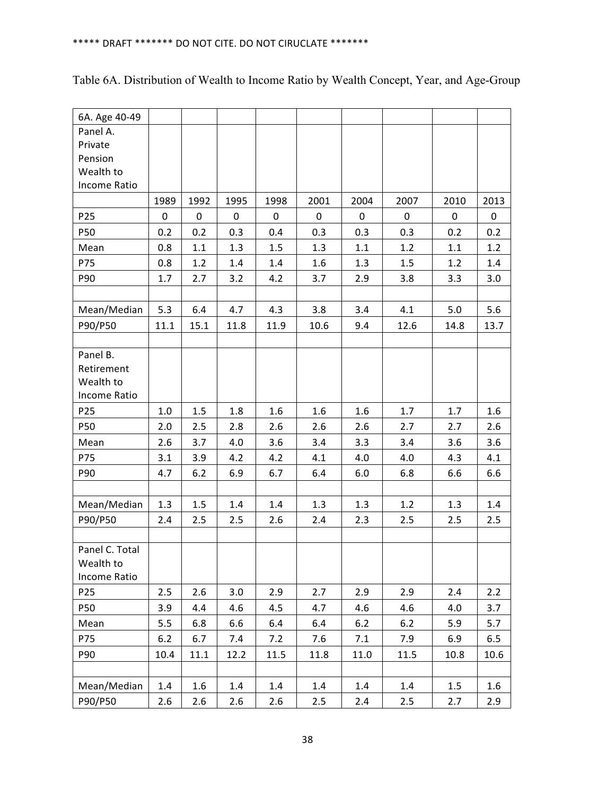| 6A. Age 40-49       |       |       |      |      |      |       |       |      |      |
|---------------------|-------|-------|------|------|------|-------|-------|------|------|
| Panel A.            |       |       |      |      |      |       |       |      |      |
| Private             |       |       |      |      |      |       |       |      |      |
| Pension             |       |       |      |      |      |       |       |      |      |
| Wealth to           |       |       |      |      |      |       |       |      |      |
| Income Ratio        |       |       |      |      |      |       |       |      |      |
|                     | 1989  | 1992  | 1995 | 1998 | 2001 | 2004  | 2007  | 2010 | 2013 |
| P <sub>25</sub>     | 0     | 0     | 0    | 0    | 0    | 0     | 0     | 0    | 0    |
| P50                 | 0.2   | 0.2   | 0.3  | 0.4  | 0.3  | 0.3   | 0.3   | 0.2  | 0.2  |
| Mean                | 0.8   | 1.1   | 1.3  | 1.5  | 1.3  | 1.1   | 1.2   | 1.1  | 1.2  |
| P75                 | 0.8   | 1.2   | 1.4  | 1.4  | 1.6  | 1.3   | 1.5   | 1.2  | 1.4  |
| P90                 | 1.7   | 2.7   | 3.2  | 4.2  | 3.7  | 2.9   | 3.8   | 3.3  | 3.0  |
|                     |       |       |      |      |      |       |       |      |      |
| Mean/Median         | 5.3   | 6.4   | 4.7  | 4.3  | 3.8  | 3.4   | 4.1   | 5.0  | 5.6  |
| P90/P50             | 11.1  | 15.1  | 11.8 | 11.9 | 10.6 | 9.4   | 12.6  | 14.8 | 13.7 |
|                     |       |       |      |      |      |       |       |      |      |
| Panel B.            |       |       |      |      |      |       |       |      |      |
| Retirement          |       |       |      |      |      |       |       |      |      |
| Wealth to           |       |       |      |      |      |       |       |      |      |
| Income Ratio        |       |       |      |      |      |       |       |      |      |
| P <sub>25</sub>     | 1.0   | 1.5   | 1.8  | 1.6  | 1.6  | 1.6   | 1.7   | 1.7  | 1.6  |
| P50                 | 2.0   | 2.5   | 2.8  | 2.6  | 2.6  | 2.6   | 2.7   | 2.7  | 2.6  |
| Mean                | 2.6   | 3.7   | 4.0  | 3.6  | 3.4  | 3.3   | 3.4   | 3.6  | 3.6  |
| P75                 | 3.1   | 3.9   | 4.2  | 4.2  | 4.1  | 4.0   | 4.0   | 4.3  | 4.1  |
| P90                 | 4.7   | $6.2$ | 6.9  | 6.7  | 6.4  | 6.0   | 6.8   | 6.6  | 6.6  |
|                     |       |       |      |      |      |       |       |      |      |
| Mean/Median         | 1.3   | 1.5   | 1.4  | 1.4  | 1.3  | 1.3   | 1.2   | 1.3  | 1.4  |
| P90/P50             | 2.4   | 2.5   | 2.5  | 2.6  | 2.4  | 2.3   | 2.5   | 2.5  | 2.5  |
| Panel C. Total      |       |       |      |      |      |       |       |      |      |
| Wealth to           |       |       |      |      |      |       |       |      |      |
| <b>Income Ratio</b> |       |       |      |      |      |       |       |      |      |
| P <sub>25</sub>     | 2.5   | 2.6   | 3.0  | 2.9  | 2.7  | 2.9   | 2.9   | 2.4  | 2.2  |
| P50                 | 3.9   | 4.4   | 4.6  | 4.5  | 4.7  | 4.6   | 4.6   | 4.0  | 3.7  |
| Mean                | 5.5   | 6.8   | 6.6  | 6.4  | 6.4  | $6.2$ | $6.2$ | 5.9  | 5.7  |
| P75                 | $6.2$ | 6.7   | 7.4  | 7.2  | 7.6  | 7.1   | 7.9   | 6.9  | 6.5  |
| P90                 | 10.4  | 11.1  | 12.2 | 11.5 | 11.8 | 11.0  | 11.5  | 10.8 | 10.6 |
|                     |       |       |      |      |      |       |       |      |      |
| Mean/Median         | 1.4   | 1.6   | 1.4  | 1.4  | 1.4  | 1.4   | 1.4   | 1.5  | 1.6  |
| P90/P50             | 2.6   | 2.6   | 2.6  | 2.6  | 2.5  | 2.4   | 2.5   | 2.7  | 2.9  |

|  | Table 6A. Distribution of Wealth to Income Ratio by Wealth Concept, Year, and Age-Group |  |  |  |
|--|-----------------------------------------------------------------------------------------|--|--|--|
|  |                                                                                         |  |  |  |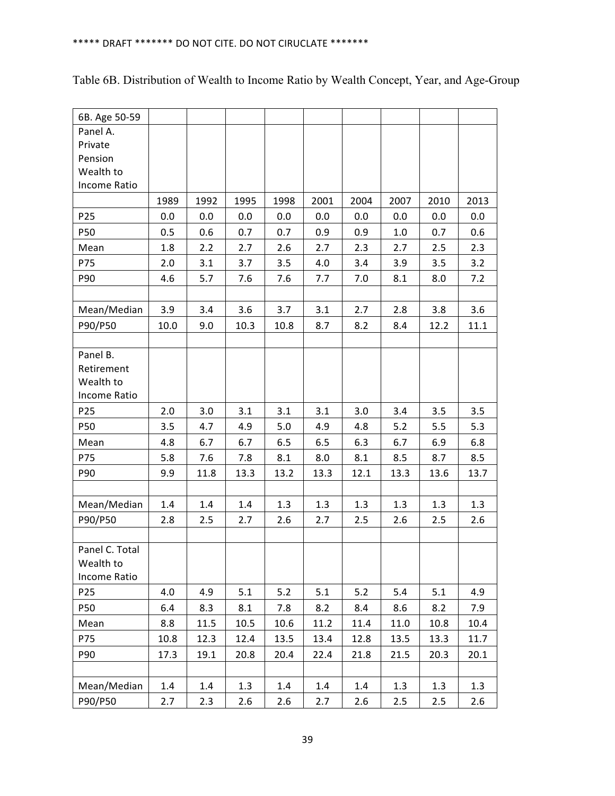| 6B. Age 50-59   |      |      |      |      |      |      |      |      |      |
|-----------------|------|------|------|------|------|------|------|------|------|
| Panel A.        |      |      |      |      |      |      |      |      |      |
| Private         |      |      |      |      |      |      |      |      |      |
| Pension         |      |      |      |      |      |      |      |      |      |
| Wealth to       |      |      |      |      |      |      |      |      |      |
| Income Ratio    |      |      |      |      |      |      |      |      |      |
|                 | 1989 | 1992 | 1995 | 1998 | 2001 | 2004 | 2007 | 2010 | 2013 |
| P <sub>25</sub> | 0.0  | 0.0  | 0.0  | 0.0  | 0.0  | 0.0  | 0.0  | 0.0  | 0.0  |
| P50             | 0.5  | 0.6  | 0.7  | 0.7  | 0.9  | 0.9  | 1.0  | 0.7  | 0.6  |
| Mean            | 1.8  | 2.2  | 2.7  | 2.6  | 2.7  | 2.3  | 2.7  | 2.5  | 2.3  |
| P75             | 2.0  | 3.1  | 3.7  | 3.5  | 4.0  | 3.4  | 3.9  | 3.5  | 3.2  |
| P90             | 4.6  | 5.7  | 7.6  | 7.6  | 7.7  | 7.0  | 8.1  | 8.0  | 7.2  |
|                 |      |      |      |      |      |      |      |      |      |
| Mean/Median     | 3.9  | 3.4  | 3.6  | 3.7  | 3.1  | 2.7  | 2.8  | 3.8  | 3.6  |
| P90/P50         | 10.0 | 9.0  | 10.3 | 10.8 | 8.7  | 8.2  | 8.4  | 12.2 | 11.1 |
| Panel B.        |      |      |      |      |      |      |      |      |      |
| Retirement      |      |      |      |      |      |      |      |      |      |
| Wealth to       |      |      |      |      |      |      |      |      |      |
| Income Ratio    |      |      |      |      |      |      |      |      |      |
| P <sub>25</sub> | 2.0  | 3.0  | 3.1  | 3.1  | 3.1  | 3.0  | 3.4  | 3.5  | 3.5  |
| P50             | 3.5  | 4.7  | 4.9  | 5.0  | 4.9  | 4.8  | 5.2  | 5.5  | 5.3  |
| Mean            | 4.8  | 6.7  | 6.7  | 6.5  | 6.5  | 6.3  | 6.7  | 6.9  | 6.8  |
| P75             | 5.8  | 7.6  | 7.8  | 8.1  | 8.0  | 8.1  | 8.5  | 8.7  | 8.5  |
| P90             | 9.9  | 11.8 | 13.3 | 13.2 | 13.3 | 12.1 | 13.3 | 13.6 | 13.7 |
|                 |      |      |      |      |      |      |      |      |      |
| Mean/Median     | 1.4  | 1.4  | 1.4  | 1.3  | 1.3  | 1.3  | 1.3  | 1.3  | 1.3  |
| P90/P50         | 2.8  | 2.5  | 2.7  | 2.6  | 2.7  | 2.5  | 2.6  | 2.5  | 2.6  |
| Panel C. Total  |      |      |      |      |      |      |      |      |      |
| Wealth to       |      |      |      |      |      |      |      |      |      |
| Income Ratio    |      |      |      |      |      |      |      |      |      |
| P <sub>25</sub> | 4.0  | 4.9  | 5.1  | 5.2  | 5.1  | 5.2  | 5.4  | 5.1  | 4.9  |
| P50             | 6.4  | 8.3  | 8.1  | 7.8  | 8.2  | 8.4  | 8.6  | 8.2  | 7.9  |
| Mean            | 8.8  | 11.5 | 10.5 | 10.6 | 11.2 | 11.4 | 11.0 | 10.8 | 10.4 |
| P75             | 10.8 | 12.3 | 12.4 | 13.5 | 13.4 | 12.8 | 13.5 | 13.3 | 11.7 |
| P90             | 17.3 | 19.1 | 20.8 | 20.4 | 22.4 | 21.8 | 21.5 | 20.3 | 20.1 |
|                 |      |      |      |      |      |      |      |      |      |
| Mean/Median     | 1.4  | 1.4  | 1.3  | 1.4  | 1.4  | 1.4  | 1.3  | 1.3  | 1.3  |
| P90/P50         | 2.7  | 2.3  | 2.6  | 2.6  | 2.7  | 2.6  | 2.5  | 2.5  | 2.6  |

## Table 6B. Distribution of Wealth to Income Ratio by Wealth Concept, Year, and Age-Group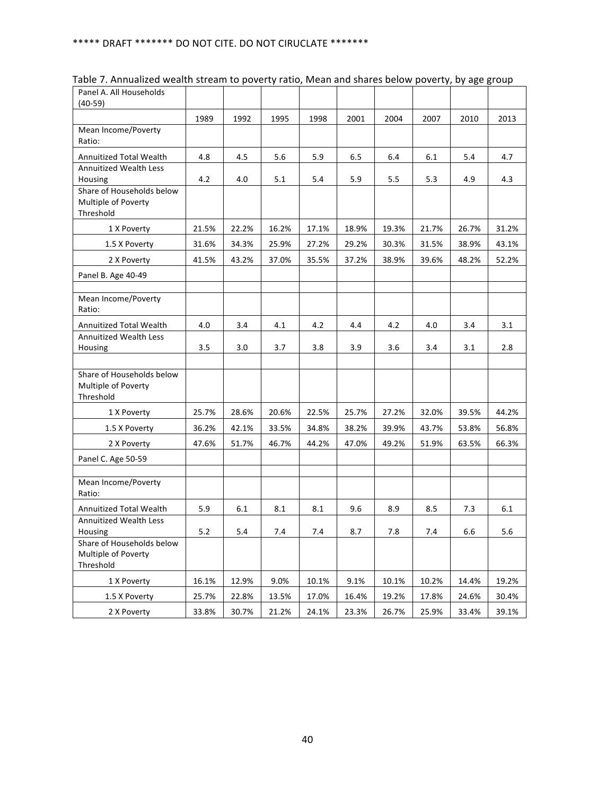| Panel A. All Households<br>$(40-59)$                          |       |       |       |       |       |       |       |       |       |
|---------------------------------------------------------------|-------|-------|-------|-------|-------|-------|-------|-------|-------|
|                                                               | 1989  | 1992  | 1995  | 1998  | 2001  | 2004  | 2007  | 2010  | 2013  |
| Mean Income/Poverty<br>Ratio:                                 |       |       |       |       |       |       |       |       |       |
| <b>Annuitized Total Wealth</b>                                | 4.8   | 4.5   | 5.6   | 5.9   | 6.5   | 6.4   | 6.1   | 5.4   | 4.7   |
| <b>Annuitized Wealth Less</b><br>Housing                      | 4.2   | 4.0   | 5.1   | 5.4   | 5.9   | 5.5   | 5.3   | 4.9   | 4.3   |
| Share of Households below<br>Multiple of Poverty<br>Threshold |       |       |       |       |       |       |       |       |       |
| 1 X Poverty                                                   | 21.5% | 22.2% | 16.2% | 17.1% | 18.9% | 19.3% | 21.7% | 26.7% | 31.2% |
| 1.5 X Poverty                                                 | 31.6% | 34.3% | 25.9% | 27.2% | 29.2% | 30.3% | 31.5% | 38.9% | 43.1% |
| 2 X Poverty                                                   | 41.5% | 43.2% | 37.0% | 35.5% | 37.2% | 38.9% | 39.6% | 48.2% | 52.2% |
| Panel B. Age 40-49                                            |       |       |       |       |       |       |       |       |       |
| Mean Income/Poverty<br>Ratio:                                 |       |       |       |       |       |       |       |       |       |
| Annuitized Total Wealth                                       | 4.0   | 3.4   | 4.1   | 4.2   | 4.4   | 4.2   | 4.0   | 3.4   | 3.1   |
| Annuitized Wealth Less<br>Housing                             | 3.5   | 3.0   | 3.7   | 3.8   | 3.9   | 3.6   | 3.4   | 3.1   | 2.8   |
| Share of Households below<br>Multiple of Poverty<br>Threshold |       |       |       |       |       |       |       |       |       |
| 1 X Poverty                                                   | 25.7% | 28.6% | 20.6% | 22.5% | 25.7% | 27.2% | 32.0% | 39.5% | 44.2% |
| 1.5 X Poverty                                                 | 36.2% | 42.1% | 33.5% | 34.8% | 38.2% | 39.9% | 43.7% | 53.8% | 56.8% |
| 2 X Poverty                                                   | 47.6% | 51.7% | 46.7% | 44.2% | 47.0% | 49.2% | 51.9% | 63.5% | 66.3% |
| Panel C. Age 50-59                                            |       |       |       |       |       |       |       |       |       |
| Mean Income/Poverty<br>Ratio:                                 |       |       |       |       |       |       |       |       |       |
| <b>Annuitized Total Wealth</b>                                | 5.9   | 6.1   | 8.1   | 8.1   | 9.6   | 8.9   | 8.5   | 7.3   | 6.1   |
| <b>Annuitized Wealth Less</b><br>Housing                      | 5.2   | 5.4   | 7.4   | 7.4   | 8.7   | 7.8   | 7.4   | 6.6   | 5.6   |
| Share of Households below<br>Multiple of Poverty<br>Threshold |       |       |       |       |       |       |       |       |       |
| 1 X Poverty                                                   | 16.1% | 12.9% | 9.0%  | 10.1% | 9.1%  | 10.1% | 10.2% | 14.4% | 19.2% |
| 1.5 X Poverty                                                 | 25.7% | 22.8% | 13.5% | 17.0% | 16.4% | 19.2% | 17.8% | 24.6% | 30.4% |
| 2 X Poverty                                                   | 33.8% | 30.7% | 21.2% | 24.1% | 23.3% | 26.7% | 25.9% | 33.4% | 39.1% |

Table 7. Annualized wealth stream to poverty ratio, Mean and shares below poverty, by age group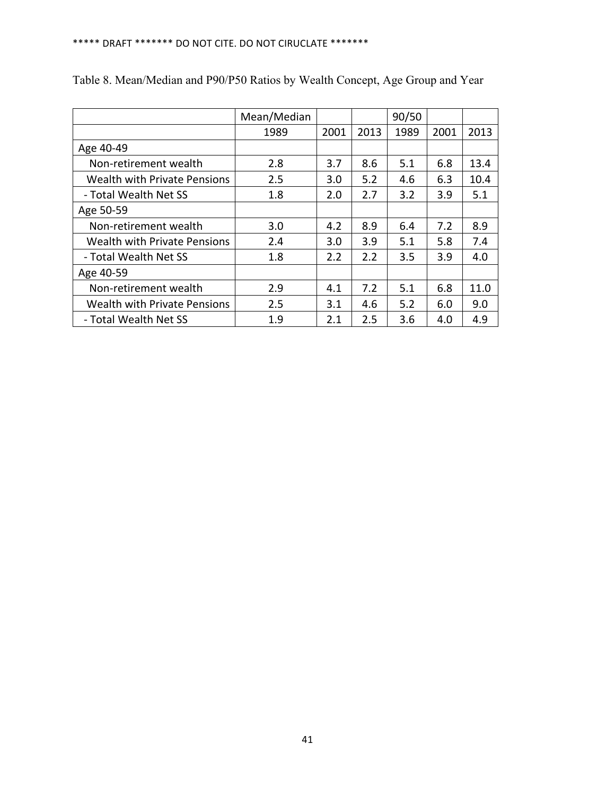|                                     | Mean/Median |      |      | 90/50 |      |      |
|-------------------------------------|-------------|------|------|-------|------|------|
|                                     | 1989        | 2001 | 2013 | 1989  | 2001 | 2013 |
| Age 40-49                           |             |      |      |       |      |      |
| Non-retirement wealth               | 2.8         | 3.7  | 8.6  | 5.1   | 6.8  | 13.4 |
| <b>Wealth with Private Pensions</b> | 2.5         | 3.0  | 5.2  | 4.6   | 6.3  | 10.4 |
| - Total Wealth Net SS               | 1.8         | 2.0  | 2.7  | 3.2   | 3.9  | 5.1  |
| Age 50-59                           |             |      |      |       |      |      |
| Non-retirement wealth               | 3.0         | 4.2  | 8.9  | 6.4   | 7.2  | 8.9  |
| <b>Wealth with Private Pensions</b> | 2.4         | 3.0  | 3.9  | 5.1   | 5.8  | 7.4  |
| - Total Wealth Net SS               | 1.8         | 2.2  | 2.2  | 3.5   | 3.9  | 4.0  |
| Age 40-59                           |             |      |      |       |      |      |
| Non-retirement wealth               | 2.9         | 4.1  | 7.2  | 5.1   | 6.8  | 11.0 |
| <b>Wealth with Private Pensions</b> | 2.5         | 3.1  | 4.6  | 5.2   | 6.0  | 9.0  |
| - Total Wealth Net SS               | 1.9         | 2.1  | 2.5  | 3.6   | 4.0  | 4.9  |

Table 8. Mean/Median and P90/P50 Ratios by Wealth Concept, Age Group and Year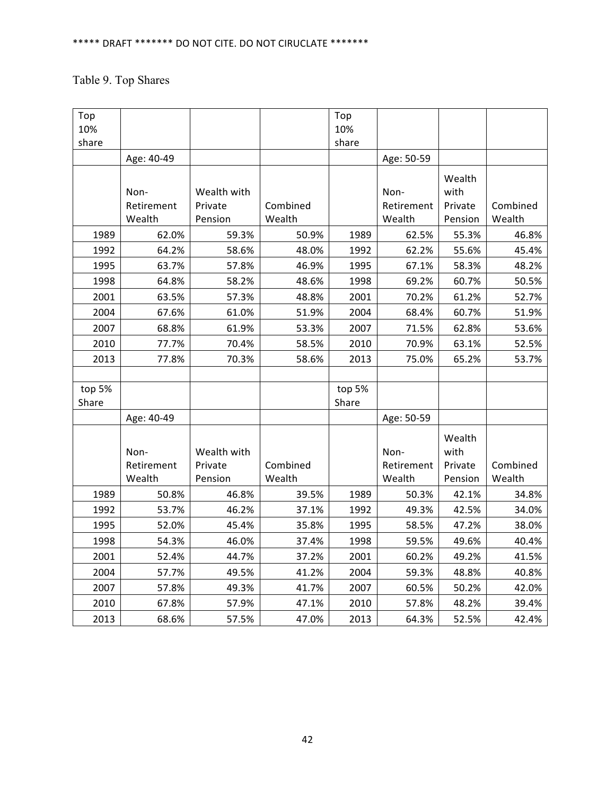# Table 9. Top Shares

| Top    |            |             |          | Top    |            |         |          |
|--------|------------|-------------|----------|--------|------------|---------|----------|
| 10%    |            |             |          | 10%    |            |         |          |
| share  |            |             |          | share  |            |         |          |
|        | Age: 40-49 |             |          |        | Age: 50-59 |         |          |
|        |            |             |          |        |            | Wealth  |          |
|        | Non-       | Wealth with |          |        | Non-       | with    |          |
|        | Retirement | Private     | Combined |        | Retirement | Private | Combined |
|        | Wealth     | Pension     | Wealth   |        | Wealth     | Pension | Wealth   |
| 1989   | 62.0%      | 59.3%       | 50.9%    | 1989   | 62.5%      | 55.3%   | 46.8%    |
| 1992   | 64.2%      | 58.6%       | 48.0%    | 1992   | 62.2%      | 55.6%   | 45.4%    |
| 1995   | 63.7%      | 57.8%       | 46.9%    | 1995   | 67.1%      | 58.3%   | 48.2%    |
| 1998   | 64.8%      | 58.2%       | 48.6%    | 1998   | 69.2%      | 60.7%   | 50.5%    |
| 2001   | 63.5%      | 57.3%       | 48.8%    | 2001   | 70.2%      | 61.2%   | 52.7%    |
| 2004   | 67.6%      | 61.0%       | 51.9%    | 2004   | 68.4%      | 60.7%   | 51.9%    |
| 2007   | 68.8%      | 61.9%       | 53.3%    | 2007   | 71.5%      | 62.8%   | 53.6%    |
| 2010   | 77.7%      | 70.4%       | 58.5%    | 2010   | 70.9%      | 63.1%   | 52.5%    |
| 2013   | 77.8%      | 70.3%       | 58.6%    | 2013   | 75.0%      | 65.2%   | 53.7%    |
|        |            |             |          |        |            |         |          |
| top 5% |            |             |          | top 5% |            |         |          |
| Share  |            |             |          | Share  |            |         |          |
|        | Age: 40-49 |             |          |        | Age: 50-59 |         |          |
|        |            |             |          |        |            | Wealth  |          |
|        | Non-       | Wealth with |          |        | Non-       | with    |          |
|        | Retirement | Private     | Combined |        | Retirement | Private | Combined |
|        | Wealth     | Pension     | Wealth   |        | Wealth     | Pension | Wealth   |
| 1989   | 50.8%      | 46.8%       | 39.5%    | 1989   | 50.3%      | 42.1%   | 34.8%    |
| 1992   | 53.7%      | 46.2%       | 37.1%    | 1992   | 49.3%      | 42.5%   | 34.0%    |
| 1995   | 52.0%      | 45.4%       | 35.8%    | 1995   | 58.5%      | 47.2%   | 38.0%    |
| 1998   | 54.3%      | 46.0%       | 37.4%    | 1998   | 59.5%      | 49.6%   | 40.4%    |
| 2001   | 52.4%      | 44.7%       | 37.2%    | 2001   | 60.2%      | 49.2%   | 41.5%    |
| 2004   | 57.7%      | 49.5%       | 41.2%    | 2004   | 59.3%      | 48.8%   | 40.8%    |
| 2007   | 57.8%      | 49.3%       | 41.7%    | 2007   | 60.5%      | 50.2%   | 42.0%    |
| 2010   | 67.8%      | 57.9%       | 47.1%    | 2010   | 57.8%      | 48.2%   | 39.4%    |
| 2013   | 68.6%      | 57.5%       | 47.0%    | 2013   | 64.3%      | 52.5%   | 42.4%    |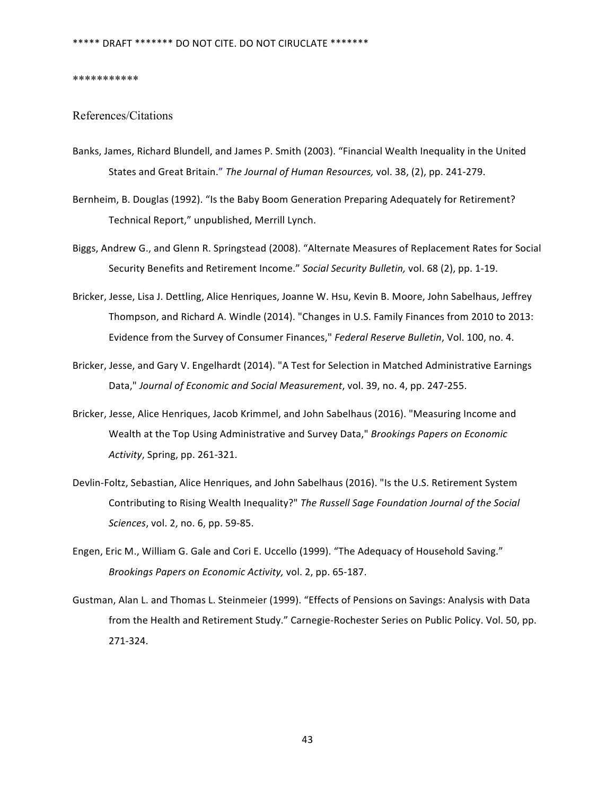#### \*\*\*\*\*\*\*\*\*\*\*

#### References/Citations

- Banks, James, Richard Blundell, and James P. Smith (2003). "Financial Wealth Inequality in the United States and Great Britain." The Journal of Human Resources, vol. 38, (2), pp. 241-279.
- Bernheim, B. Douglas (1992). "Is the Baby Boom Generation Preparing Adequately for Retirement? Technical Report," unpublished, Merrill Lynch.
- Biggs, Andrew G., and Glenn R. Springstead (2008). "Alternate Measures of Replacement Rates for Social Security Benefits and Retirement Income." Social Security Bulletin, vol. 68 (2), pp. 1-19.
- Bricker, Jesse, Lisa J. Dettling, Alice Henriques, Joanne W. Hsu, Kevin B. Moore, John Sabelhaus, Jeffrey Thompson, and Richard A. Windle (2014). "Changes in U.S. Family Finances from 2010 to 2013: Evidence from the Survey of Consumer Finances," Federal Reserve Bulletin, Vol. 100, no. 4.
- Bricker, Jesse, and Gary V. Engelhardt (2014). "A Test for Selection in Matched Administrative Earnings Data," Journal of Economic and Social Measurement, vol. 39, no. 4, pp. 247-255.
- Bricker, Jesse, Alice Henriques, Jacob Krimmel, and John Sabelhaus (2016). "Measuring Income and Wealth at the Top Using Administrative and Survey Data," Brookings Papers on Economic Activity, Spring, pp. 261-321.
- Devlin-Foltz, Sebastian, Alice Henriques, and John Sabelhaus (2016). "Is the U.S. Retirement System Contributing to Rising Wealth Inequality?" The Russell Sage Foundation Journal of the Social *Sciences*, vol. 2, no. 6, pp. 59-85.
- Engen, Eric M., William G. Gale and Cori E. Uccello (1999). "The Adequacy of Household Saving." *Brookings Papers on Economic Activity, vol.* 2, pp. 65-187.
- Gustman, Alan L. and Thomas L. Steinmeier (1999). "Effects of Pensions on Savings: Analysis with Data from the Health and Retirement Study." Carnegie-Rochester Series on Public Policy. Vol. 50, pp. 271-324.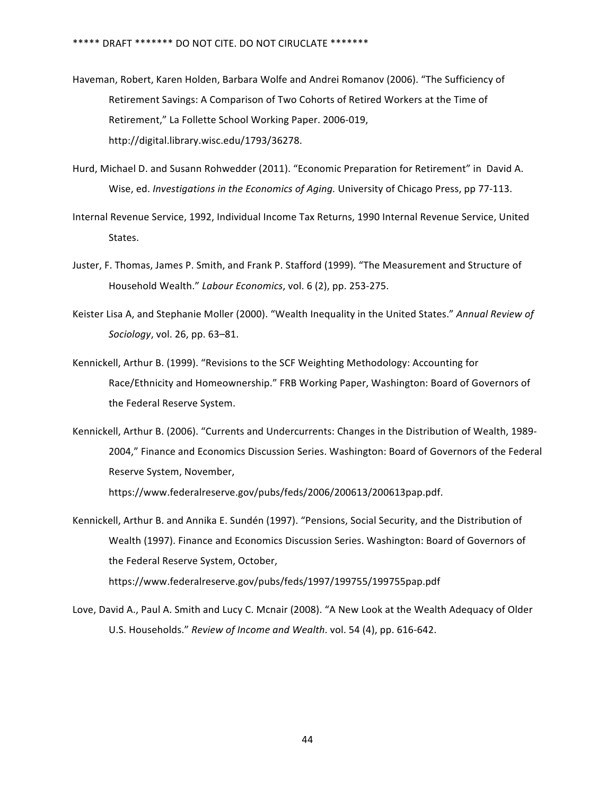- Haveman, Robert, Karen Holden, Barbara Wolfe and Andrei Romanov (2006). "The Sufficiency of Retirement Savings: A Comparison of Two Cohorts of Retired Workers at the Time of Retirement," La Follette School Working Paper. 2006-019, http://digital.library.wisc.edu/1793/36278.
- Hurd, Michael D. and Susann Rohwedder (2011). "Economic Preparation for Retirement" in David A. Wise, ed. *Investigations in the Economics of Aging*. University of Chicago Press, pp 77-113.
- Internal Revenue Service, 1992, Individual Income Tax Returns, 1990 Internal Revenue Service, United States.
- Juster, F. Thomas, James P. Smith, and Frank P. Stafford (1999). "The Measurement and Structure of Household Wealth." Labour Economics, vol. 6 (2), pp. 253-275.
- Keister Lisa A, and Stephanie Moller (2000). "Wealth Inequality in the United States." Annual Review of *Sociology*, vol. 26, pp. 63–81.
- Kennickell, Arthur B. (1999). "Revisions to the SCF Weighting Methodology: Accounting for Race/Ethnicity and Homeownership." FRB Working Paper, Washington: Board of Governors of the Federal Reserve System.
- Kennickell, Arthur B. (2006). "Currents and Undercurrents: Changes in the Distribution of Wealth, 1989-2004," Finance and Economics Discussion Series. Washington: Board of Governors of the Federal Reserve System, November,

https://www.federalreserve.gov/pubs/feds/2006/200613/200613pap.pdf.

- Kennickell, Arthur B. and Annika E. Sundén (1997). "Pensions, Social Security, and the Distribution of Wealth (1997). Finance and Economics Discussion Series. Washington: Board of Governors of the Federal Reserve System, October, https://www.federalreserve.gov/pubs/feds/1997/199755/199755pap.pdf
- Love, David A., Paul A. Smith and Lucy C. Mcnair (2008). "A New Look at the Wealth Adequacy of Older U.S. Households." Review of Income and Wealth. vol. 54 (4), pp. 616-642.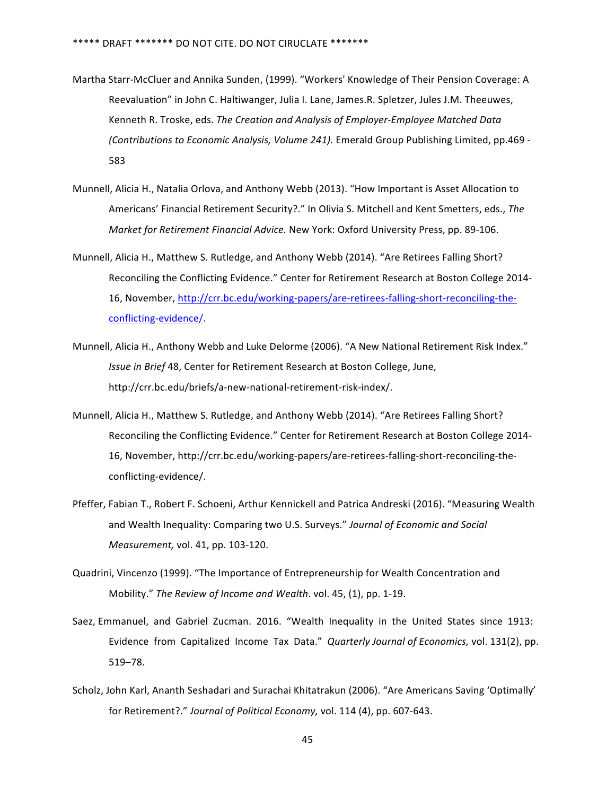- Martha Starr-McCluer and Annika Sunden, (1999). "Workers' Knowledge of Their Pension Coverage: A Reevaluation" in John C. Haltiwanger, Julia I. Lane, James.R. Spletzer, Jules J.M. Theeuwes, Kenneth R. Troske, eds. The Creation and Analysis of Employer-Employee Matched Data *(Contributions to Economic Analysis, Volume 241).* Emerald Group Publishing Limited, pp.469 - 583
- Munnell, Alicia H., Natalia Orlova, and Anthony Webb (2013). "How Important is Asset Allocation to Americans' Financial Retirement Security?." In Olivia S. Mitchell and Kent Smetters, eds., The *Market for Retirement Financial Advice.* New York: Oxford University Press, pp. 89-106.
- Munnell, Alicia H., Matthew S. Rutledge, and Anthony Webb (2014). "Are Retirees Falling Short? Reconciling the Conflicting Evidence." Center for Retirement Research at Boston College 2014-16, November, http://crr.bc.edu/working-papers/are-retirees-falling-short-reconciling-theconflicting-evidence/.
- Munnell, Alicia H., Anthony Webb and Luke Delorme (2006). "A New National Retirement Risk Index." *Issue in Brief* 48, Center for Retirement Research at Boston College, June, http://crr.bc.edu/briefs/a-new-national-retirement-risk-index/.
- Munnell, Alicia H., Matthew S. Rutledge, and Anthony Webb (2014). "Are Retirees Falling Short? Reconciling the Conflicting Evidence." Center for Retirement Research at Boston College 2014-16, November, http://crr.bc.edu/working-papers/are-retirees-falling-short-reconciling-theconflicting-evidence/.
- Pfeffer, Fabian T., Robert F. Schoeni, Arthur Kennickell and Patrica Andreski (2016). "Measuring Wealth and Wealth Inequality: Comparing two U.S. Surveys." Journal of Economic and Social *Measurement,* vol. 41, pp. 103-120.
- Quadrini, Vincenzo (1999). "The Importance of Entrepreneurship for Wealth Concentration and Mobility." The Review of Income and Wealth. vol. 45, (1), pp. 1-19.
- Saez, Emmanuel, and Gabriel Zucman. 2016. "Wealth Inequality in the United States since 1913: Evidence from Capitalized Income Tax Data." *Quarterly Journal of Economics, vol.* 131(2), pp. 519–78.
- Scholz, John Karl, Ananth Seshadari and Surachai Khitatrakun (2006). "Are Americans Saving 'Optimally' for Retirement?." Journal of Political Economy, vol. 114 (4), pp. 607-643.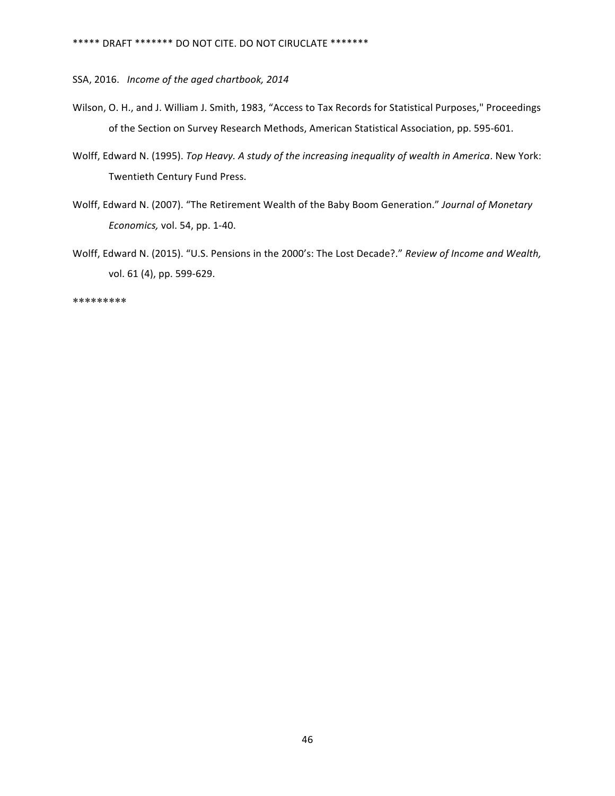SSA, 2016. Income of the aged chartbook, 2014

- Wilson, O. H., and J. William J. Smith, 1983, "Access to Tax Records for Statistical Purposes," Proceedings of the Section on Survey Research Methods, American Statistical Association, pp. 595-601.
- Wolff, Edward N. (1995). *Top Heavy. A study of the increasing inequality of wealth in America*. New York: Twentieth Century Fund Press.
- Wolff, Edward N. (2007). "The Retirement Wealth of the Baby Boom Generation." Journal of Monetary *Economics,* vol. 54, pp. 1-40.
- Wolff, Edward N. (2015). "U.S. Pensions in the 2000's: The Lost Decade?." Review of Income and Wealth, vol. 61 (4), pp. 599-629.

\*\*\*\*\*\*\*\*\*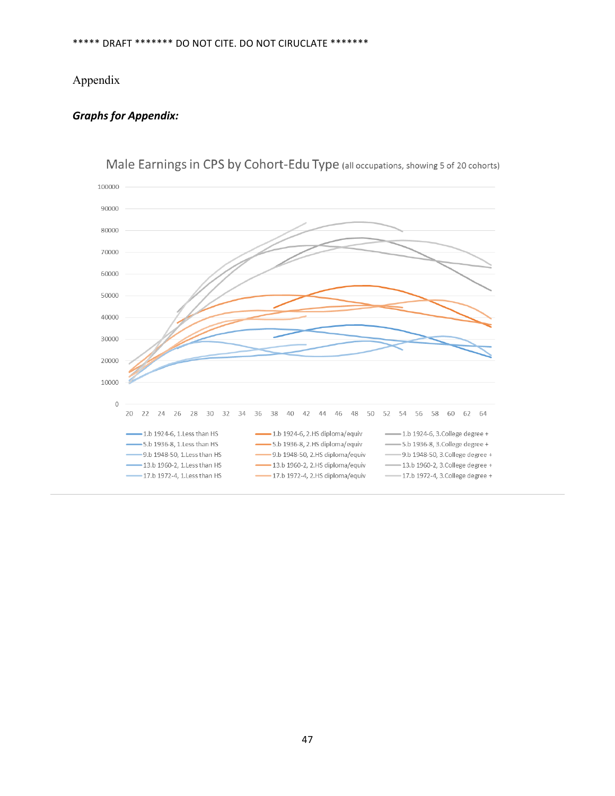## Appendix

### *Graphs for Appendix:*

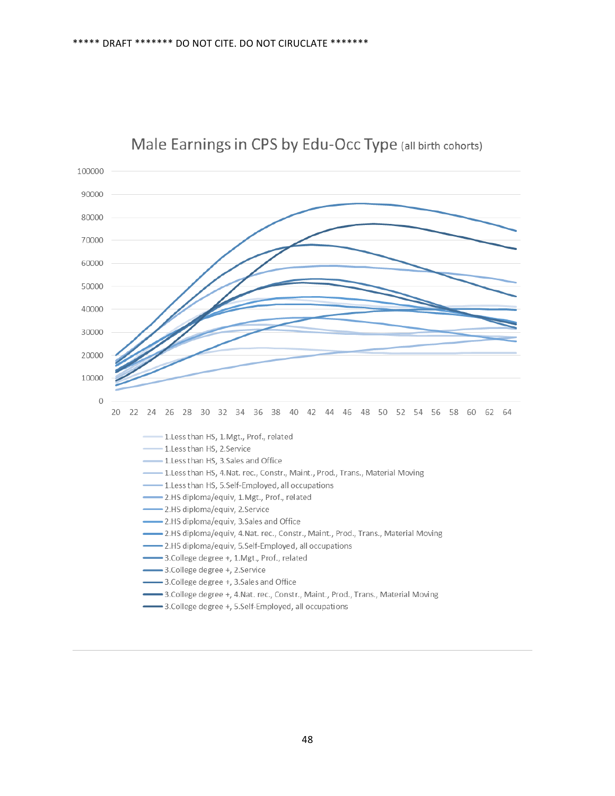

## Male Earnings in CPS by Edu-Occ Type (all birth cohorts)